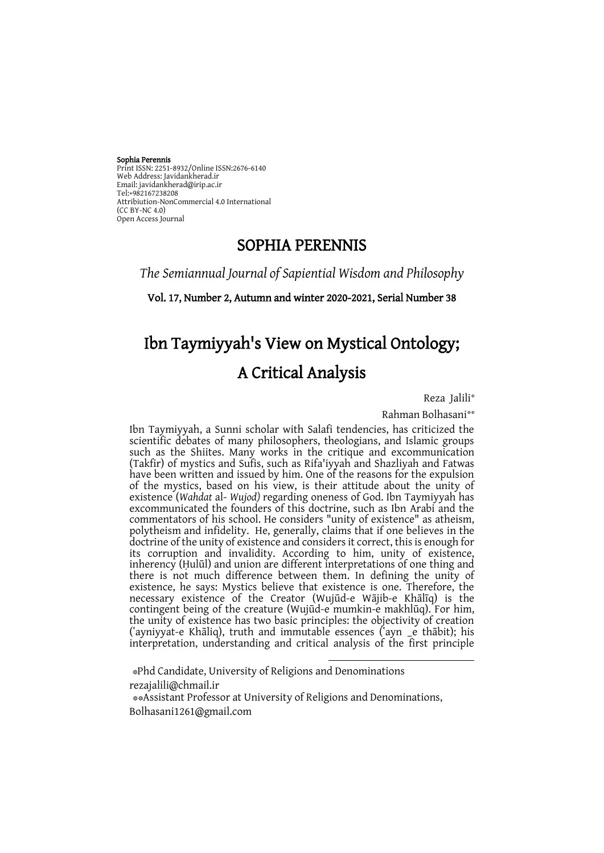#### Sophia Perennis

Print ISSN: 2251-8932/Online ISSN:2676-6140 Web Address: Javidankherad.ir Email[: javidankherad@irip.ac.ir](mailto:javidankherad@irip.ac.ir) [Tel:+982167238208](tel:+982167238208) Attribiution-NonCommercial 4.0 International (CC BY-NC 4.0) Open Access Journal

# SOPHIA PERENNIS

*The Semiannual Journal of Sapiential Wisdom and Philosophy*

Vol. 17, Number 2, Autumn and winter 2020-2021, Serial Number 38

# Ibn Taymiyyah's View on Mystical Ontology; A Critical Analysis

Reza Jalili\*

\*\* Rahman Bolhasani

Ibn Taymiyyah, a Sunni scholar with Salafi tendencies, has criticized the scientific debates of many philosophers, theologians, and Islamic groups such as the Shiites. Many works in the critique and excommunication (Takfir) of mystics and Sufis, such as Rifa'iyyah and Shazliyah and Fatwas have been written and issued by him. One of the reasons for the expulsion of the mystics, based on his view, is their attitude about the unity of existence (*Wahdat* al- *Wujod)* regarding oneness of God. Ibn Taymiyyah has excommunicated the founders of this doctrine, such as Ibn Arabi and the commentators of his school. He considers "unity of existence" as atheism, polytheism and infidelity. He, generally, claims that if one believes in the doctrine of the unity of existence and considers it correct, this is enough for its corruption and invalidity. According to him, unity of existence, inherency (Ḥulūl) and union are different interpretations of one thing and there is not much difference between them. In defining the unity of existence, he says: Mystics believe that existence is one. Therefore, the necessary existence of the Creator (Wujūd-e Wājib-e Khālīq) is the contingent being of the creature (Wujūd-e mumkin-e makhlūq). For him, the unity of existence has two basic principles: the objectivity of creation (ʽayniyyat-e Khāliq), truth and immutable essences (ʽayn \_e thābit); his interpretation, understanding and critical analysis of the first principle

1

\*Phd Candidate, University of Religions and Denominations [rezajalili@chmail.ir](mailto:rezajalili@chmail.ir) \*\*Assistant Professor at University of Religions and Denominations, [Bolhasani1261@gmail.com](mailto:Bolhasani1261@gmail.com)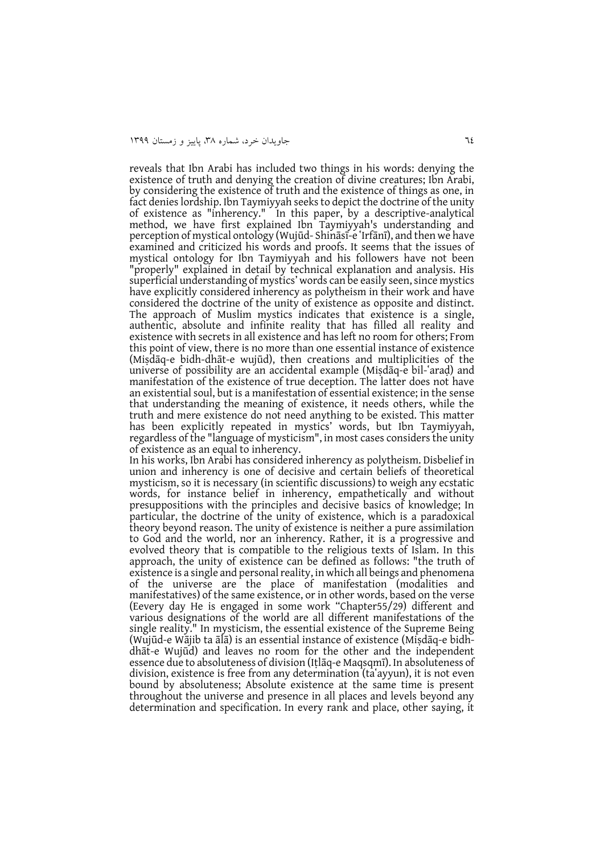reveals that Ibn Arabi has included two things in his words: denying the existence of truth and denying the creation of divine creatures; Ibn Arabi, by considering the existence of truth and the existence of things as one, in fact denies lordship. Ibn Taymiyyah seeks to depict the doctrine of the unity of existence as "inherency." In this paper, by a descriptive-analytical method, we have first explained Ibn Taymiyyah's understanding and perception of mystical ontology (Wujūd- Shināsī-e 'Irfānī), and then we have examined and criticized his words and proofs. It seems that the issues of mystical ontology for Ibn Taymiyyah and his followers have not been "properly" explained in detail by technical explanation and analysis. His superficial understanding of mystics' words can be easily seen, since mystics have explicitly considered inherency as polytheism in their work and have considered the doctrine of the unity of existence as opposite and distinct. The approach of Muslim mystics indicates that existence is a single, authentic, absolute and infinite reality that has filled all reality and existence with secrets in all existence and has left no room for others; From this point of view, there is no more than one essential instance of existence (Miṣdāq-e bidh-dhāt-e wujūd), then creations and multiplicities of the universe of possibility are an accidental example (Misdaq-e bil-'arad) and manifestation of the existence of true deception. The latter does not have an existential soul, but is a manifestation of essential existence; in the sense that understanding the meaning of existence, it needs others, while the truth and mere existence do not need anything to be existed. This matter has been explicitly repeated in mystics' words, but Ibn Taymiyyah, regardless of the "language of mysticism", in most cases considers the unity of existence as an equal to inherency.

In his works, Ibn Arabi has considered inherency as polytheism. Disbelief in union and inherency is one of decisive and certain beliefs of theoretical mysticism, so it is necessary (in scientific discussions) to weigh any ecstatic words, for instance belief in inherency, empathetically and without presuppositions with the principles and decisive basics of knowledge; In particular, the doctrine of the unity of existence, which is a paradoxical theory beyond reason. The unity of existence is neither a pure assimilation to God and the world, nor an inherency. Rather, it is a progressive and evolved theory that is compatible to the religious texts of Islam. In this approach, the unity of existence can be defined as follows: "the truth of existence is a single and personal reality, in which all beings and phenomena of the universe are the place of manifestation (modalities and manifestatives) of the same existence, or in other words, based on the verse (Eevery day He is engaged in some work "Chapter55/29) different and various designations of the world are all different manifestations of the single reality." In mysticism, the essential existence of the Supreme Being (Wujūd-e Wājib ta ālā) is an essential instance of existence (Miṣdāq-e bidhdhāt-e Wujūd) and leaves no room for the other and the independent essence due to absoluteness of division (Iṭlāq-e Maqsqmī). In absoluteness of division, existence is free from any determination (ta`ayyun), it is not even bound by absoluteness; Absolute existence at the same time is present throughout the universe and presence in all places and levels beyond any determination and specification. In every rank and place, other saying, it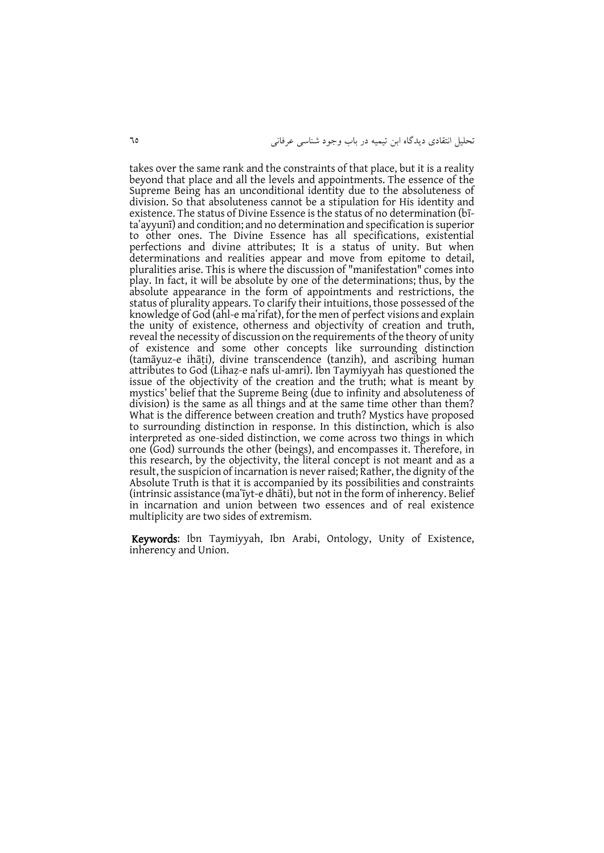takes over the same rank and the constraints of that place, but it is a reality beyond that place and all the levels and appointments. The essence of the Supreme Being has an unconditional identity due to the absoluteness of division. So that absoluteness cannot be a stipulation for His identity and existence. The status of Divine Essence is the status of no determination (bīta'ayyunī) and condition; and no determination and specification is superior to other ones. The Divine Essence has all specifications, existential perfections and divine attributes; It is a status of unity. But when determinations and realities appear and move from epitome to detail, pluralities arise. This is where the discussion of "manifestation" comes into play. In fact, it will be absolute by one of the determinations; thus, by the absolute appearance in the form of appointments and restrictions, the status of plurality appears. To clarify their intuitions, those possessed of the knowledge of God (ahl-e ma`rifat), for the men of perfect visions and explain the unity of existence, otherness and objectivity of creation and truth, reveal the necessity of discussion on the requirements of the theory of unity of existence and some other concepts like surrounding distinction (tamāyuz-e ihāṭi), divine transcendence (tanzih), and ascribing human attributes to God (Lihaẓ-e nafs ul-amri). Ibn Taymiyyah has questioned the issue of the objectivity of the creation and the truth; what is meant by mystics' belief that the Supreme Being (due to infinity and absoluteness of division) is the same as all things and at the same time other than them? What is the difference between creation and truth? Mystics have proposed to surrounding distinction in response. In this distinction, which is also interpreted as one-sided distinction, we come across two things in which one (God) surrounds the other (beings), and encompasses it. Therefore, in this research, by the objectivity, the literal concept is not meant and as a result, the suspicion of incarnation is never raised; Rather, the dignity of the Absolute Truth is that it is accompanied by its possibilities and constraints (intrinsic assistance (maʽīyt-e dhāti), but not in the form of inherency. Belief in incarnation and union between two essences and of real existence multiplicity are two sides of extremism.

Keywords: Ibn Taymiyyah, Ibn Arabi, Ontology, Unity of Existence, inherency and Union.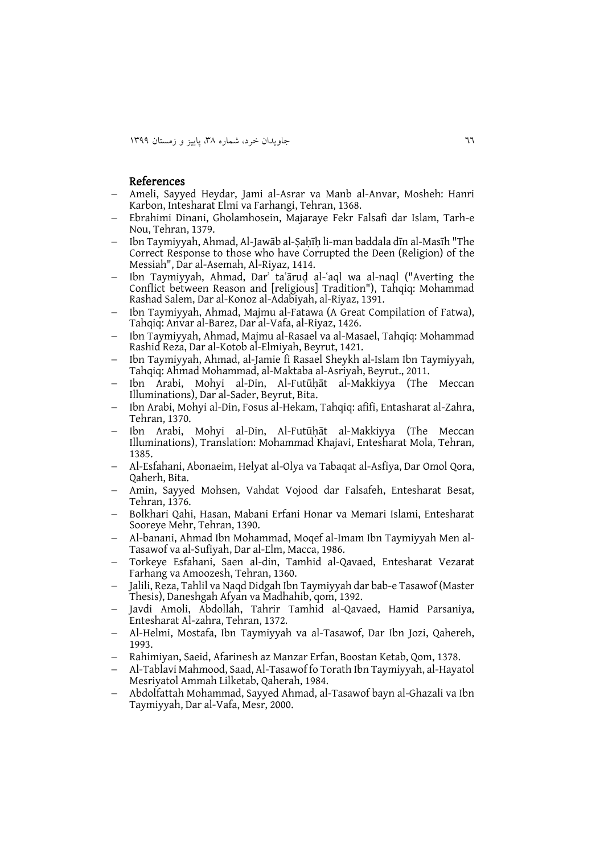#### References

- Ameli, Sayyed Heydar, Jami al-Asrar va Manb al-Anvar, Mosheh: Hanri Karbon, Intesharat Elmi va Farhangi, Tehran, 1368.
- Ebrahimi Dinani, Gholamhosein, Majaraye Fekr Falsafi dar Islam, Tarh-e Nou, Tehran, 1379.
- Ibn Taymiyyah, Ahmad, Al-Jawāb al-Ṣaḥīḥ li-man baddala dīn al-Masīh "The Correct Response to those who have Corrupted the Deen (Religion) of the Messiah", Dar al-Asemah, Al-Riyaz, 1414.
- Ibn Taymiyyah, Ahmad, Darʾ taʿāruḍ al-ʿaql wa al-naql ("Averting the Conflict between Reason and [religious] Tradition"), Tahqiq: Mohammad Rashad Salem, Dar al-Konoz al-Adabiyah, al-Riyaz, 1391.
- Ibn Taymiyyah, Ahmad, Majmu al-Fatawa (A Great Compilation of Fatwa), Tahqiq: Anvar al-Barez, Dar al-Vafa, al-Riyaz, 1426.
- Ibn Taymiyyah, Ahmad, Majmu al-Rasael va al-Masael, Tahqiq: Mohammad Rashid Reza, Dar al-Kotob al-Elmiyah, Beyrut, 1421.
- Ibn Taymiyyah, Ahmad, al-Jamie fi Rasael Sheykh al-Islam Ibn Taymiyyah, Tahqiq: Ahmad Mohammad, al-Maktaba al-Asriyah, Beyrut., 2011.
- Ibn Arabi, Mohyi al-Din, Al-Futūḥāt al-Makkiyya (The Meccan Illuminations), Dar al-Sader, Beyrut, Bita.
- Ibn Arabi, Mohyi al-Din, Fosus al-Hekam, Tahqiq: afifi, Entasharat al-Zahra, Tehran, 1370.
- Ibn Arabi, Mohyi al-Din, Al-Futūḥāt al-Makkiyya (The Meccan Illuminations), Translation: Mohammad Khajavi, Entesharat Mola, Tehran, 1385.
- Al-Esfahani, Abonaeim, Helyat al-Olya va Tabaqat al-Asfiya, Dar Omol Qora, Qaherh, Bita.
- Amin, Sayyed Mohsen, Vahdat Vojood dar Falsafeh, Entesharat Besat, Tehran, 1376.
- Bolkhari Qahi, Hasan, Mabani Erfani Honar va Memari Islami, Entesharat Sooreye Mehr, Tehran, 1390.
- Al-banani, Ahmad Ibn Mohammad, Moqef al-Imam Ibn Taymiyyah Men al-Tasawof va al-Sufiyah, Dar al-Elm, Macca, 1986.
- Torkeye Esfahani, Saen al-din, Tamhid al-Qavaed, Entesharat Vezarat Farhang va Amoozesh, Tehran, 1360.
- Jalili, Reza, Tahlil va Naqd Didgah Ibn Taymiyyah dar bab-e Tasawof (Master Thesis), Daneshgah Afyan va Madhahib, qom, 1392.
- Javdi Amoli, Abdollah, Tahrir Tamhid al-Qavaed, Hamid Parsaniya, Entesharat Al-zahra, Tehran, 1372.
- Al-Helmi, Mostafa, Ibn Taymiyyah va al-Tasawof, Dar Ibn Jozi, Qahereh, 1993.
- Rahimiyan, Saeid, Afarinesh az Manzar Erfan, Boostan Ketab, Qom, 1378.
- Al-Tablavi Mahmood, Saad, Al-Tasawof fo Torath Ibn Taymiyyah, al-Hayatol Mesriyatol Ammah Lilketab, Qaherah, 1984.
- Abdolfattah Mohammad, Sayyed Ahmad, al-Tasawof bayn al-Ghazali va Ibn Taymiyyah, Dar al-Vafa, Mesr, 2000.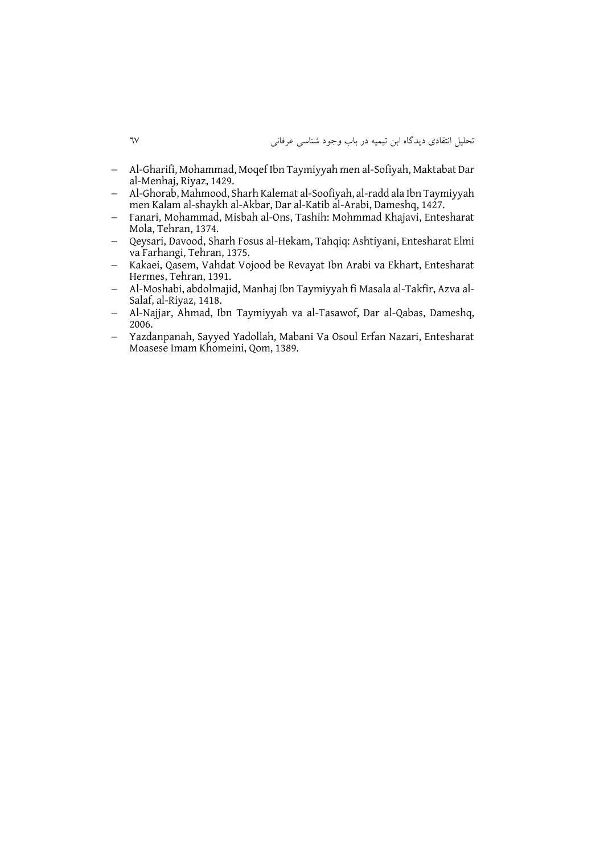- Al-Gharifi, Mohammad, Moqef Ibn Taymiyyah men al-Sofiyah, Maktabat Dar al-Menhaj, Riyaz, 1429.
- Al-Ghorab, Mahmood, Sharh Kalemat al-Soofiyah, al-radd ala Ibn Taymiyyah men Kalam al-shaykh al-Akbar, Dar al-Katib al-Arabi, Dameshq, 1427.
- Fanari, Mohammad, Misbah al-Ons, Tashih: Mohmmad Khajavi, Entesharat Mola, Tehran, 1374.
- Oevsari, Davood, Sharh Fosus al-Hekam, Tahqiq: Ashtiyani, Entesharat Elmi va Farhangi, Tehran, 1375.
- Kakaei, Qasem, Vahdat Vojood be Revayat Ibn Arabi va Ekhart, Entesharat Hermes, Tehran, 1391.
- Al-Moshabi, abdolmajid, Manhaj Ibn Taymiyyah fi Masala al-Takfir, Azva al-Salaf, al-Riyaz, 1418.
- Al-Najjar, Ahmad, Ibn Taymiyyah va al-Tasawof, Dar al-Qabas, Dameshq, 2006.
- Yazdanpanah, Sayyed Yadollah, Mabani Va Osoul Erfan Nazari, Entesharat Moasese Imam Khomeini, Qom, 1389.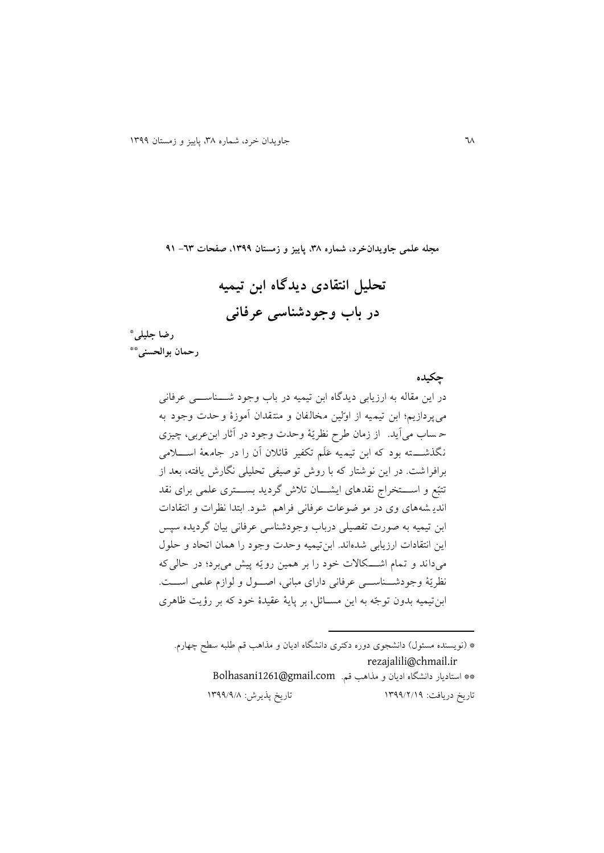**تحلیل انتقادی دیدگاه ابن تیمیه در باب وجودشناسی عرفانی**

**مجله علمی جاویدانخرد، شماره ،83 پاییز و زمستان ،9811 صفحات -38 19**

 **رضا جلیلی \* \*\* رحمان بوالحسنی**

 **چکیده** در اين مقاله به ارزيابی ديدگاه ابن تیمیه در باب وجود شنننناسنننی عرفانی میپردازيم؛ ابن تیمیه از او لین مخالفان و منتقدان آموز ة وحدت وجود به حـ ساب می آيد. از زمان طرح نظريّهٔ وحدت وجود در آثار ابن عربی، چيزی نگذشــــته بود که ابن تیمیه عَلَم تکفیر قائلان آن را در جامعهٔ اســــلامی برافراشت . در اين نوشتار اه با روش توصیفی تحلیلی نگارش يافته، بعد از تتبّع و اســـتخراج نقدهای ايشـــان تلاش گرديد بســـتری علمی برای نقد انديه شه های وی در مو ضوعات عرفانی فراهم شود. ابتدا نظرات و انتقادات ابن تیمیه به صورت تفصیلی درباب وجودشناسی عرفانی بیان گرديده سپس اين انتقادات ارزيابی شده اند. ابنتیمیه وحدت وجود را مان اتحاد و حلول میداند و تمام اشکللات خود را بر همین رويّه پیش میبرد؛ در حالی که نظريّة وجودشناسي عرفانی دارای مبانی، اصول و لوازم علمی است. ابن تیمیه بدون توجّه به این مسـائل، بر پایهٔ عقیدهٔ خود که بر رؤیت ظاهری

\* (نويسنده مسئول) دانشجوی دوره دکتری دانشگاه اديان و مذاهب قم طلبه سطح چهارم. [rezajalili@chmail.ir](mailto:rezajalili@chmail.ir)  \*\* استاديار دانشگاه اديان و مذاهب قم. Bolhasani1261@gmail.com تاريخ دريافت: 9811/2/91 تاريخ پذيرش: 9811/1/3

**.**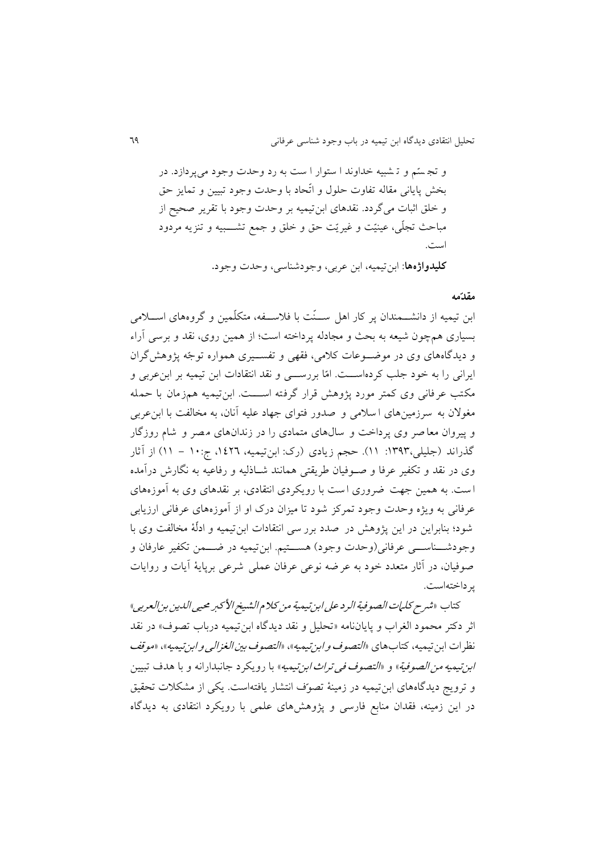و تجستم و ت شبیه خداوند ا ستوار ا ست به رد وحدت وجود می پردازد. در بخش پايانی مقاله تفاوت حلول و اتّحاد با وحدت وجود تبيين و تمايز حق و خلق اثبات میگردد. نقد ای ابنتیمیه بر وحدت وجود با تقرير صحیح از مباحث تجلّی، عینیّت و غیریّت حق و خلق و جمع تشـــــبیه و تنزیه مردود است.

 **کلیدواژهها**: ابنتیمیه، ابن عربی، وجودشناسی، وحدت وجود.

#### **مقدّمه**

ابن تیمیه از دانشـــمندان پر کار اهل ســنّت با فلاســـفه، متکلّمین و گروههای اســـلامی بسیاری مچون شیعه به بحث و مجادله پرداخته است؛ از مین روی، نقد و برسی آراء و دیدگاههای وی در موضوعات کلامی، فقهی و تفسیری همواره توجّه پژوهش گران ايراني را به خود جلب كردهاســت. امّا بررســـي و نقد انتقادات ابن تیمیه بر ابنءربی و مکتب عرفانی وی کمتر مورد پژوهش قرار گرفته اســـت. ابن تیمیه همزمان با حمله مغولان به سرزمینهای ا سلامی و صدور فتوای جهاد علیه آنان، به مخالفت با ابن عربی و پیروان معا صر وی پرداخت و سال های متمادی را در زندان های مصر و شام روزگار گذراند (جلیلی،۱۳۹۳: ۱۱). حجم زیادی (رک: ابنتیمیه، ۱٤۲٦، ج:۱۰ – ۱۱) از آثار وی در نقد و تکفیر عرفا و صـوفیان طریقتی همانند شـاذلیه و رفاعیه به نگارش درآمده است. به همین جهت ضروری است با رویکردی انتقادی، بر نقدهای وی به آموزههای عرفانی به ويژه وحدت وجود تمرکز شود تا ميزان درک او از آموزههای عرفانی ارزيابی شود؛ بنابراين در اين پژو ش در صدد برر سی انتقادات ابن تیمیه و ادل ة مخالفت وی با وجودشــناســـی عرفانی(وحدت وجود) هســتیم. ابنتیمیه در ضـــمن تکفیر عارفان و صوفیان، در آثار متعدد خود به عرضه نوعی عرفان عملی شرعی برپاي ة آيات و روايات پرداختهاست.

كتاب «شىر ح كل*يات الصوفية ال*رد *على ابن تي*مية من كلا م*الشيخ الأ*كبر محي<sub>ح</sub>ى *اللدين بن العربي*» اثر دکتر محمود الغراب و پاياننامه «تحليل و نقد ديدگاه ابن تيميه درباب تصوف» در نقد نظر ات ابن تیمیه، کتاب های *«التصوف و ابن تیمیه»*، *«التصوف بین الغزالی و ابن تی*میه»، «م*وقف* ابن تيمي*ه من الصوفية*» و *«التصوف في تراث ابن ت*يميه» با رويكرد جانبدارانه و با هدف تبيين و ترويج ديدگاههاي ابن تيميه در زمينهٔ تصوّف انتشار يافتهاست. يكي از مشكلات تحقيق در اين زمینه، فقدان منابع فارسی و پژو ش ای علمی با رويررد انتقادی به ديدگاه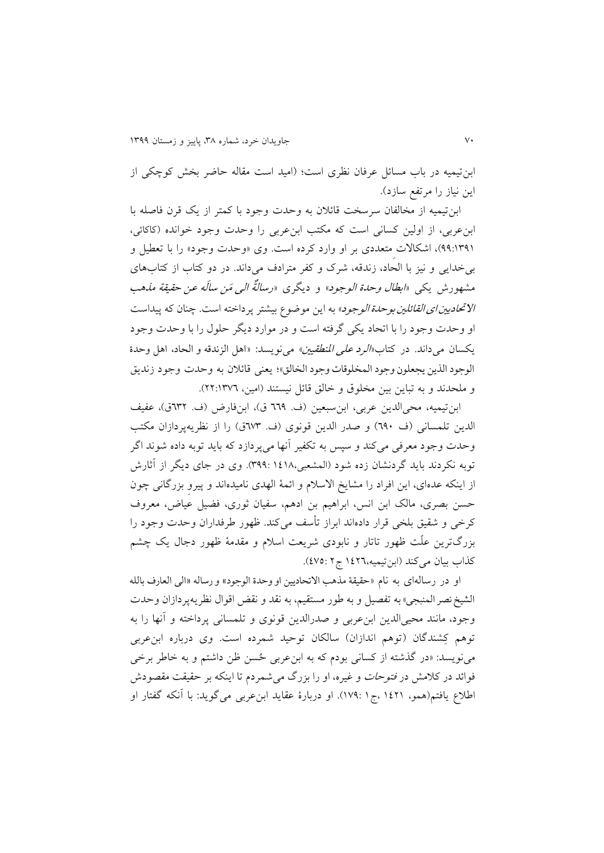ابن تیمیه در باب مسائل عرفان نظری است؛ (امید است مقاله حاضر بخش کوچکی از اين نياز را مرتفع سازد).

ابن تیمیه از مخالفان سرسخت قائلان به وحدت وجود با کمتر از یک قرن فاصله با ابن عربی، از اولین کسانی است که مکتب ابن عربی را وحدت وجود خوانده (کاکائی، ۹۹:۱۳۹۱)، اشکالات متعددی بر او وارد کرده است. وی «وحدت وجود» را با تعطیل و بی خدايی و نيز با الحاد، زندقه، شرک و کفر مترادف می داند. در دو کتاب از کتابهای مشهورش يكي «*ابطال وحدة الوجود*» و ديگرى «ر*سالنٌّه الي مَن سالَه عن حقيقة مذهب* ا*لاتحادیین ای القائلین بوحدة الوجود*» به این موضوع بیشتر پرداخته است. چنان که پیداست او وحدت وجود را با اتحاد يری گرفته است و در موارد ديگر حلول را با وحدت وجود يكسان می داند. در كتاب *«الرد علی المنطقيين» می ن*ويسد: «اهل الزندقه و الحاد، اهل وحدة الوجود الذين يجعلون وجود المخلوقات وجود الخالق»؛ يعني قائلان به وحدت وجود زنديق و ملحدند و به تباين بين مخلوق و خالق قائل نيستند (امين، ٢٢:١٣٧٦).

ابن تیمیه، محیالدین عربی، ابن سبعین (ف. ٦٦٩ ق)، ابنفارض (ف. ٦٣٢ق)، عفیف الدين تلمسانی (ف ٦٩٠) و صدر الدين قونوی (ف. ٦٧٣ق) را از نظريهپردازان مكتب وحدت وجود معرفی می کند و سپس به تکفیر آنها میپردازد که باید توبه داده شوند اگر توبه نكردند بايد گردنشان زده شود (المشعبی،١٤١٨. ٣٩٩:١). وی در جای ديگر از آثارش از اينكه عدهای، اين افراد را مشايخ الاسلام و ائمهٔ الهدی نامیدهاند و پیرو بزرگانی چون حسن بصری، مالک ابن انس، ابرا یم بن اد م، سفیان ثوری، فضیل عیاض، معروف کر خی و شقیق بلخی قرار دادهاند ابراز تأسف می کند. ظهور طرفداران وحدت وجود را بزرگترين علّت ظهور تاتار و نابودی شريعت اسلام و مقدمهٔ ظهور دجال يک چشم كذاب بیان می كند (ابن تیمیه،١٤٢٦ ج ٢ :٤٧٥).

او در رسالهای به نام »حقيقة مذهب االتحادیين او وحدة الوجود« و رساله »الی العارف بالله الشيخ نصر المنبجي» به تفصيل و به طور مستقيم، به نقد و نقض اقوال نظريهپردازان وحدت وجود، مانند محیىالدين ابن عربى و صدرالدين قونوى و تلمسانى پرداخته و آنها را به توهم کِشندگان (توهم اندازان) سالکان توحید شمرده است. وی درباره ابنءربی مینویسد: «در گذشته از کسانی بودم که به ابن عربی حُسن ظن داشتم و به خاطر برخی فوائد در كلامش در *فتوحات و غیره*، او را بزرگ می شمردم تا اینكه بر حقیقت مقصودش اطلاع يافتم(همو، ١٤٢١ ،ج١ :١٧٩). او دربارهٔ عقايد ابن عربى مى گويد: با آنكه گفتار او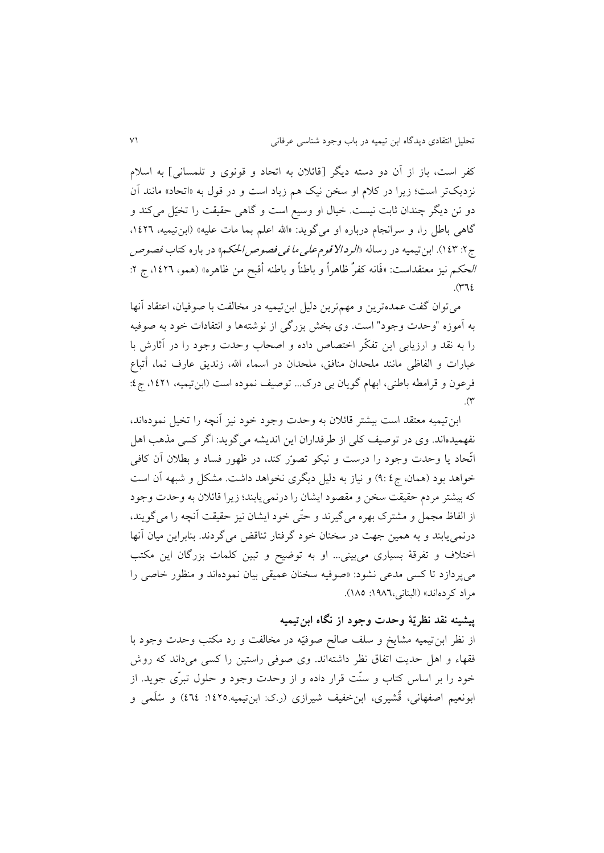کفر است، باز از آن دو دسته ديگر [قائلان به اتحاد و قونوی و تلمسانی] به اسلام نزديکتر است؛ زيرا در کلام او سخن نيک هم زياد است و در قول به «اتحاد» مانند آن دو تن دیگر چندان ثابت نیست. خیال او وسیع است و گاهی حقیقت را تخیّل می کند و گاهی باطل را، و سرانجام درباره او میگوید: «الله اعلم بما مات علیه» (ابنتیمیه، ١٤٢٦. ج ۲: ۱٤٣). ابن تیمیه در رساله «*الرد الاقوم علی ما فی فصوص الحک*م» در باره کتاب *فصوص* الحكم نيز معتقداست: «فَانه كفرٌ ظاهراً و باطناً و باطنه أقبح من ظاهره» (همو، ١٤٢٦، ج ٢:  $\mathcal{S}(\mathcal{T})$ 

میتوان گفت عمدهترين و مهمترين دلیل ابنتیمیه در مخالفت با صوفیان، اعتقاد آنها به آموزه "وحدت وجود" است. وی بخش بزرگی از نوشتهها و انتقادات خود به صوفیه را به نقد و ارزيابی اين تفكّر اختصاص داده و اصحاب وحدت وجود را در آثارش با عبارات و الفاظی مانند ملحدان منافق، ملحدان در اسماء اهلل، زنديق عارف نما، أتباع فرعون و قرامطه باطنی، ابهام گويان بی درک... توصیف نموده است (ابن تیمیه، ۱٤٢١، ج٤:  $\mathcal{N}$ 

ابن تیمیه معتقد است بیشتر قائلان به وحدت وجود خود نیز آنچه را تخیل نمودهاند، نفهمیدهاند. وی در توصیف کلی از طرفداران این اندیشه می گوید: اگر کسی مذهب اهل اتّحاد يا وحدت وجود را درست و نيكو تصوّر كند، در ظهور فساد و بطلان آن كافى خواهد بود (همان، ج٤ ٩:) و نیاز به دلیل دیگری نخواهد داشت. مشکل و شبهه آن است كه بيشتر مردم حقيقت سخن و مقصود ايشان را درنمى يابند؛ زيرا قائلان به وحدت وجود از الفاظ مجمل و مشترک بهره میگیرند و حتّى خود ايشان نيز حقيقت آنچه را مى گويند، درنمى يابند و به همين جهت در سخنان خود گرفتار تناقض مى گردند. بنابراين ميان آنها اختلاف و تفرقهٔ بسیاری میبینی... او به توضیح و تبین کلمات بزرگان این مکتب می پردازد تا کسی مدعی نشود: «صوفیه سخنان عمیقی بیان نمودهاند و منظور خاصی را مراد كردهاند» (البنانی،١٩٨٦: ١٨٥).

## **پیشینه نقد نظریّة وحدت وجود از نگاه ابنتیمیه**

از نظر ابن تیمیه مشایخ و سلف صالح صوفیّه در مخالفت و رد مکتب وحدت وجود با فقهاء و اهل حديت اتفاق نظر داشتهاند. وی صوفی راستین را کسی میداند که روش خود را بر اساس کتاب و سنّت قرار داده و از وحدت وجود و حلول تبرّی جوید. از ابونعیم اصفهانی، قُشیری، ابنِخفیف شیرازی (ر.ک: ابنتیمیه.۱٤۲٥: ٤٦٤) و سُلَمی و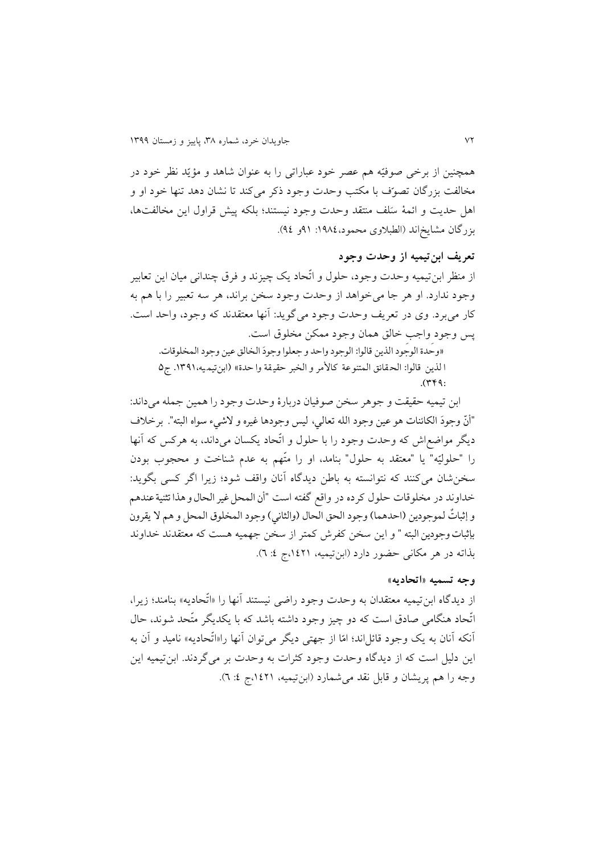همچنین از برخی صوفیّه هم عصر خود عباراتی را به عنوان شاهد و مؤیّد نظر خود در مخالفت بزرگان تصوّف با مکتب وحدت وجود ذکر می کند تا نشان دهد تنها خود او و اهل حديت و ائمهٔ سَلف منتقد وحدت وجود نيستند؛ بلكه پیش قراول اين مخالفتها، بزرگان مشايخ اند (الطبلاوی محمود،١٩٨٤: ٩١و ٩٤).

## **تعریف ابنتیمیه از وحدت وجود**

از منظر ابنتیمیه وحدت وجود، حلول و اتّحاد يک چیزند و فرق چندانی میان اين تعابیر وجود ندارد. او هر جا می خواهد از وحدت وجود سخن براند، هر سه تعبیر را با هم به كار میبرد. وی در تعريف وحدت وجود می گويد: آنها معتقدند كه وجود، واحد است. پس وجود واجب خالق همان وجود ممكن مخلوق است.

«وحدة الوجود الذين قالوا: الوجود واحد و جعلوا وجودَ الخالق عين وجود المخلوقات. .<br>د ا لذين قالوا: الحقائق المتنوعة كالأمر و الخبر حقيقة وا حدة» (ابنتيميه،١٣٩١. ج٥  $.944$ :

ابن تیمیه حقیقت و جوهر سخن صوفیان دربارهٔ وحدت وجود را همین جمله میداند: "أنّ وجودَ الكائنات هو عين وجود الله تعالي، ليس وجودها غيره و لاشيء سواه البته". برخلاف .<br>د .<br>• ديگر مواضعاش كه وحدت وجود را با حلول و اتّحاد يكسان می داند، به هركس كه آنها را "حلوليّه" يا "معتقد به حلول" بنامد، او را متّهم به عدم شناخت و محجوب بودن سخن شان می کنند که نتوانسته به باطن ديدگاه آنان واقف شود؛ زيرا اگر کسی بگويد: خداوند در مخلوقات حلول كرده در واقع گفته است "أن المحل غير الحال و هذا تثنية عندهم و إثباتٌ لموجودين (احدهما) وجود الحق الحال (والثاني) وجود المخلوق المحل و هم لا يقرونْ بإثبات وجودین البته " و این سخن کفرش کمتر از سخن جهمیه هست که معتقدند خداوند بذاته در هر مکانی حضور دارد (ابنتیمیه، ۱٤٢١،ج ٤: ٦).

#### **وجه تسمیه »اتحادیه«**

از ديدگاه ابن تيميه معتقدان به وحدت وجود راضي نيستند آنها را «اتّحاديه» بنامند؛ زيرا، اتّحاد هنگامی صادق است که دو چیز وجود داشته باشد که با یکدیگر متّحد شوند، حال آنکه آنان به يک وجود قائل اند؛ امّا از جهتی ديگر می توان آنها را«اتّحاديه» ناميد و آن به اين دليل است كه از ديدگاه وحدت وجود كثرات به وحدت بر می گردند. ابن تيميه اين وجه را هم پریشان و قابل نقد می شمارد (ابنتیمیه، ۱٤٢١،ج ٤: ٦).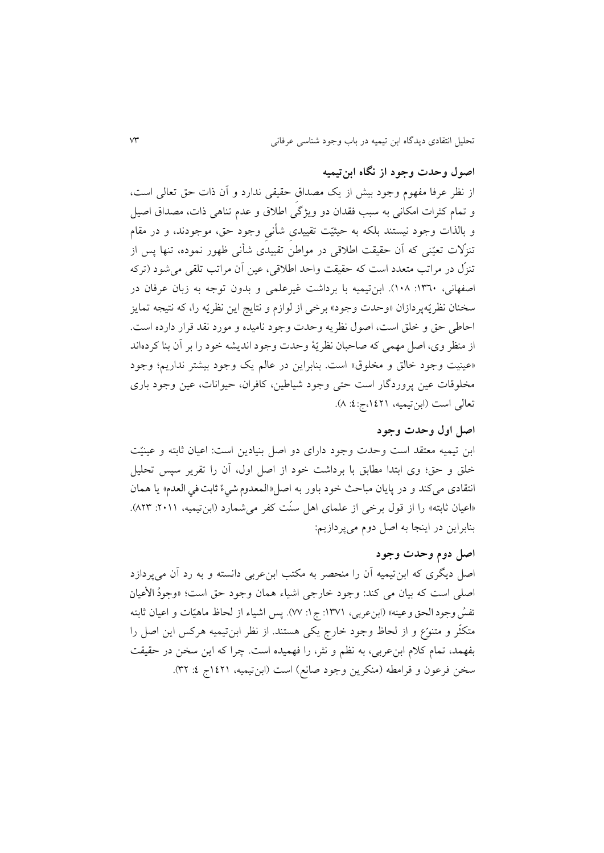## **اصول وحدت وجود از نگاه ابنتیمیه**

از نظر عرفا مفهوم وجود بیش از يک مصداقِ حقیقی ندارد و آن یات حق تعالی است، و تمام کثرات امکانی به سبب فقدان دو ويژگی اطلاق و عدم تناهی ذات، مصداق اصيل و بالذات وجود نیستند بلکه به حیثیّت تقییدی شأنی وجود حق، موجودند، و در مقام تنزلات تعیّنی که آن حقیقت اطلاقی در مواطن تقییدی شأنی ظهور نموده، تنها پس از تنزّل در مراتب متعدد است که حقیقت واحد اطلاقی، عین آن مراتب تلقی می شود (ترکه اصفهانی، ١٣٦٠: ١٠٨). ابنتیمیه با برداشت غیرعلمی و بدون توجه به زبان عرفان در سخنان نظريّه پردازان «وحدت وجود» برخی از لوازم و نتايج اين نظريّه را، كه نتيجه تمايز احاطی حق و خلق است، اصول نظريه وحدت وجود ناميده و مورد نقد قرار دارده است. از منظر وی، اصل مهمی كه صاحبان نظريّهٔ وحدت وجود انديشه خود را بر آن بنا كردهاند «عینیت وجود خالق و مخلوق» است. بنابراین در عالم یک وجود بیشتر نداریم؛ وجود مخلوالات عین پروردگار است حتی وجود شیاطین، اافران، حیوانات، عین وجود باری تعالی است (ابن تیمیه، ۱٤٢١،ج:٤: ٨).

## **اصل اول وحدت وجود**

ابن تیمیه معتقد است وحدت وجود دارای دو اصل بنیادين است: اعیان ثابته و عینی ت خلق و حق؛ وی ابتدا مطابق با برداشت خود از اصل اول، آن را تقرير سپس تحلیل نتقادی میکند و در پايان مباحث خود باور به اصل«المعدوم شيءٌ ثابت في العدم» يا همان «اعیان ثابته» را از قول برخی از علمای اهل سنّت کفر می شمارد (ابنتیمیه، ۲۰۱۱: ۸۲۳). بنابراين در اينجا به اصل دوم میپردازيم:

## **اصل دوم وحدت وجود**

اصل دیگری که ابنتیمیه آن را منحصر به مکتب ابنءربی دانسته و به رد آن میپردازد ُاصلی است که بیان می کند: وجود خارجی اشیاء همان وجود حق است؛ «وجودُ الاعیان ٍ<br>ٌ نفسُ وجود الحق و عينه» (ابنءربي، ١٣٧١: ج ١: ٧٧). پس اشياء از لحاظ ماهيّات و اعيان ثابته متکثّر و متنوّع و از لحاظ وجود خارج يکي هستند. از نظر ابنتیمیه هرکس اين اصل را بفهمد، تمام کلام ابن عربی، به نظم و نثر، را فهمیده است. چرا که این سخن در حقیقت سخن فرعون و قرامطه (منكرين وجود صانع) است (ابنتیمیه، ۱٤٢١ج ٤: ٣٢).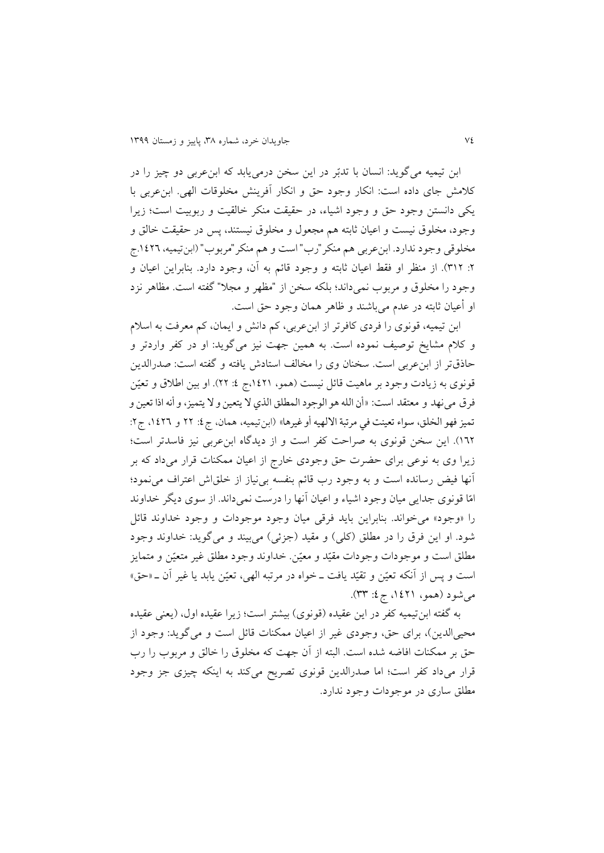ابن تیمیه می گويد: انسان با تدبّر در اين سخن درمی بابد که ابنءربی دو چیز را در كلامش جای داده است: انكار وجود حق و انكار آفرينش مخلوقات الهی. ابنءربی با يرى دانستن وجود حق و وجود اشیاء، در حقیقت منرر خالقیت و ربوبیت است؛ زيرا وجود، مخلوق نیست و اعیان ثابته م مجعول و مخلوق نیستند، پس در حقیقت خالق و مخلوقى وجود ندارد. ابن عربي هم منكر "رب" است و هم منكر "مربوب" (ابن تيميه، ١٤٢٦.ج ۲: ٣١٢). از منظر او فقط اعیان ثابته و وجود قائم به آن، وجود دارد. بنابراین اعیان و وجود را مخلوق و مربوب نمیداند؛ بلکه سخن از "مظهر و مجلا" گفته است. مظاهر نزد او أعیان ثابته در عدم می باشند و ظاهر همان وجود حق است.

ابن تیمیه، قونوی را فردی کافرتر از ابنءربی، کم دانش و ایمان، کم معرفت به اسلام و كلام مشايخ توصيف نموده است. به همين جهت نيز مىگويد: او در كفر واردتر و حایقتر از ابنعربى است. سخنان وی را مخالف استادش يافته و گفته است: صدرالدين قونوی به زيادت وجود بر ماهيت قائل نيست (همو، ١٤٢١،ج ٤: ٢٢). او بين اطلاق و تعيّن فرق مینهد و معتقد است: »أن الله هو الوجود المطلق الذي ال یتعين و ال یتميز، و أنه اذا تعين و تميز فهو الخلق، سواء تعينت في مرتبة الالهيه أو غيرها» (ابن تيميه، همان، ج٤: ٢٢ و ١٤٢٦، ج٢: ١٦٢). اين سخن قونوی به صراحت كفر است و از ديدگاه ابن عربی نيز فاسدتر است؛ زيرا وی به نوعی برای حضرت حق وجودی خارج از اعیان ممکنات قرار میداد که بر آنها فیض رسانده است و به وجود رب الا م بنفسه ِبینیاز از خلقاش اعتراف مینمود؛ امّا قونوی جدايى ميان وجود اشياء و اعيان آنها را درست نمىداند. از سوی ديگر خداوند را «وجود» مى خواند. بنابراين بايد فرقى ميان وجود موجودات و وجود خداوند قائل شود. او اين فرق را در مطلق (كلي) و مقيد (جزئي) مى بيند و مى گويد: خداوند وجود مطلق است و موجودات وجودات مقیّد و معیّن. خداوند وجود مطلق غیر متعیّن و متمایز است و پس از آنکه تعیّن و تقیّد یافت ــ خواه در مرتبه الهی، تعیّن یابد یا غیر آن ــ «حق» می شود (همو، ۱٤٢۱، ج٤: ٣٣).

به گفته ابن تیمیه کفر در این عقیده (قونوی) بیشتر است؛ زیرا عقیده اول، (يعنى عقیده محیىالدين)، برای حق، وجودی غیر از اعیان ممكنات قائل است و مىگويد: وجود از حق بر ممکنات افاضه شده است. البته از آن جهت که مخلوق را خالق و مربوب را رب قرار میداد كفر است؛ اما صدرالدين قونوی تصريح مى كند به اينكه چیزی جز وجود مطلق ساری در موجودات وجود ندارد.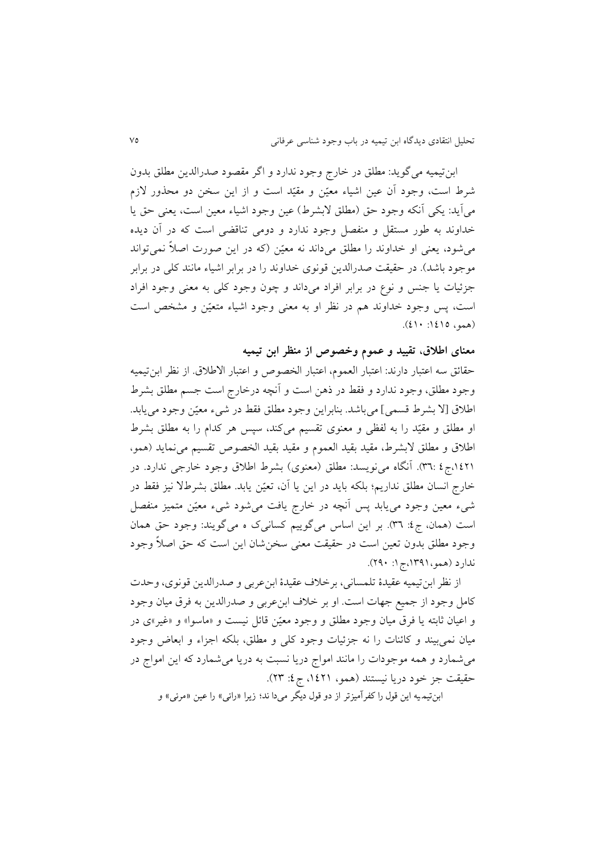ابنتیمیه مىگويد: مطلق در خارق وجود ندارد و اگر مقصود صدرالدين مطلق بدون شرط است، وجود آن عین اشیاء معیّن و مقیّد است و از این سخن دو محذور لازم مىآيد: يكي آنكه وجود حق (مطلق لابشرط) عين وجود اشياء معين است، يعنى حق يا خداوند به طور مستقل و منفصل وجود ندارد و دومى تناقضى است كه در آن ديده مى شود، يعنى او خداوند را مطلق مىداند نه معیّن (كه در اين صورت اصلاً نمى تواند موجود باشد). در حقیقت صدرالدین قونوی خداوند را در برابر اشیاء مانند کلی در برابر جز یات يا جنس و نوع در برابر افراد مىداند و چون وجود الى به معنى وجود افراد است، پس وجود خداوند هم در نظر او به معنى وجود اشیاء متعیّن و مشخص است  $(2) \cdot |20 \rangle$ (همو، 120

**معنای اطالق، تقیید و عموم وخصوص از منظر ابن تیمیه**

حقائق سه اعتبار دارند: اعتبار العموم، اعتبار الخصوص و اعتبار الاطلاق. از نظر ابن تیمیه وجود مطلق، وجود ندارد و فقط در ذهن است و أنچه درخارج است جسم مطلق بشرط اطلاق [لا بشرط قسمی] میباشد. بنابراين وجود مطلق فقط در شیء معیّن وجود می يابد. او مطلق و مقیّد را به لفظی و معنوی تقسیم میکند، سپس هر کدام را به مطلق بشرط اطلاق و مطلق لابشرط، مقید بقید العموم و مقید بقید الخصوص تقسیم می نماید (همو، ۰۱٤۲۱ق.بر ع.۳٦: آنگاه می نویسد: مطلق (معنوی) بشرط اطلاق وجود خارجی ندارد. در خارج انسان مطلق نداريم؛ بلكه بايد در اين يا آن، تعیّن يابد. مطلق بشرطلا نیز فقط در شیء معین وجود می یابد پس آنچه در خارج یافت میشود شیء معیّن متمیز منفصل است (همان، ج٤: ٣٦). بر اين اساس ميگوييم كسانیک ه میگويند: وجود حق همان وجود مطلق بدون تعین است در حقیقت معنی سخن شان این است که حق اصلاً وجود ندارد (همو،۱۳۹۱،ج۱: ۲۹۰).

از نظر ابن تيميه عقيدة تلمسانى، برخلاف عقيدة ابنءربى و صدرالدين قونوي، وحدت کامل وجود از جمیع جهات است. او بر خلاف ابنءربى و صدرالدين به فرق ميان وجود و اعیان ثابته یا فرق میان وجود مطلق و وجود معیّن قائل نیست و «ماسوا» و «غیر»ی در میان نمی بیند و کائنات را نه جزئیات وجود کلی و مطلق، بلکه اجزاء و ابعاض وجود مى شمارد و همه موجودات را مانند امواج دريا نسبت به دريا مى شمارد كه اين امواج در حقیقت جز خود دریا نیستند (همو، ۱٤٢۱، ج٤: ٢٣).

ابنتيم يه این قول را كفرآميزتر از دو قول دیگر میدا ند؛ زیرا »رائی« را عين »مرئی« و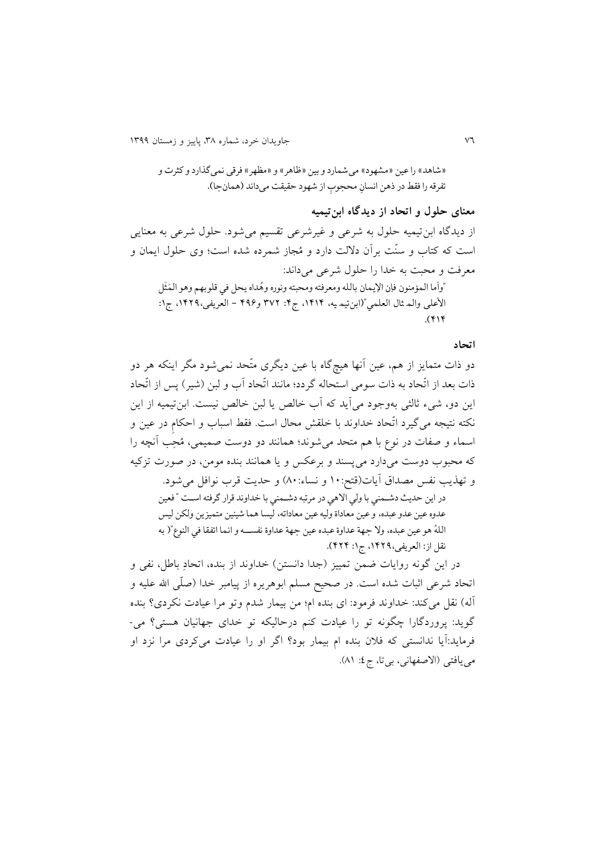«شاهد» را عين «مشهود» می شمارد و بين «ظاهر» و «مظهر» فرقی نمیگذارد و كثرت و تفرقه را فقط در ذهن انسانِ محجوبِ از شهود حقيقت مىداند (همانجا). ; ِ

**معنای حلول و اتحاد از دیدگاه ابنتیمیه** از ديدگاه ابنتیمیه حلول به شرعی و غیرشرعی تقسیم میشود. حلول شرعی به معنايی است که کتاب و سنّت برآن دلالت دارد و مُجاز شمرده شده است؛ وی حلول ايمان و معرفت و محبت به خدا را حلول شرعی میداند: "وأما المؤمنون فإن الإيمان بالله ومعرفته ومحبته ونوره وهَداه يحل في قلوبهم وهو المَثل َ َ ٍ<br>مُ األعلی والم ثال العلمي")ابنتيم يه، ،1414 ج:4 973 و434 - العریفی،1433، ج:1  $(414)$ 

#### **اتحاد**

دو ذات متمايز از هم، عین آنها هیچگاه با عین ديگری متّحد نمی شود مگر اینکه هر دو ذات بعد از اتّحاد به ذات سومی استحاله گردد؛ مانند اتّحاد آب و لبن (شیر) پس از اتّحاد اين دو، شيء ثالثي بهوجود مي آيد كه آب خالص يا لبن خالص نيست. ابن تيميه از اين نکته نتیجه می گیرد اتّحاد خداوند با خلقش محال است. فقط اسباب و احکام در عین و اسماء و صفات در نوع با هم متحد می شوند؛ همانند دو دوست صمیمی، مُحِب آنچه را که محبوب دوست میدارد می $\omega$ سند و برعکس و يا همانند بنده مومن، در صورت تزکيه و تهذيب نفس مصداق آيات(قتح: ١٠ و نساء: ٨٠) و حديت قرب نوافل می شود. در این حدیث دشممني با ولي االهي در مرتبه دشممني با نداوند قرار گرفته اسمت " فعين عدوه عين عدو عبده، و عين معاداة وليه عين معاداته، ليسا هما شيئين متميزین ولکن ليس اللهُ هو عين عبده، ولا جهة عداوة عبده عين جهة عداوة نفســه و انما اتفقا في النوع"( به ء<br>له نقل از: العریفی،1433، ج:1 434(. در اين گونه روايات ضمن تمييز (جدا دانستن) خداوند از بنده، اتحادِ باطل، نفی و

اتحاد شرعی اثبات شده است. در صحیح مسلم ابوهریره از پیامبر خدا (صلّی الله علیه و آله) نقل می کند: خداوند فرمود: ای بنده ام؛ من بیمار شدم وتو مرا عیادت نکردی؟ بنده گويد: پروردگارا چگونه تو را عيادت كنم درحاليكه تو خدای جهانيان هستی؟ می-فرمايد:آيا ندانستی كه فلان بنده ام بیمار بود؟ اگر او را عیادت می كردی مرا نزد او می یافتی (الاصفهانی، بی تا، ج٤: ٨١).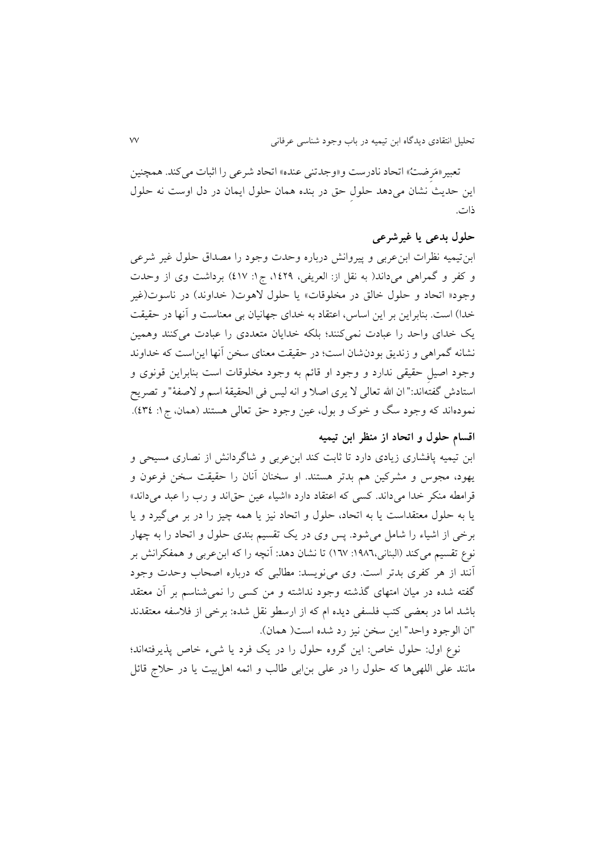تعبیر «مَرِ ضتُ» اتحاد نادرست و «وجدتنی عنده» اتحاد شرعی را اثبات می کند. همچنین اين حديث نشان میدهد حلول حق در بنده همان حلول ايمان در دل اوست نه حلول یات.

## **حلول بدعی یا غیرشرعی**

ابنتیمیه نظرات ابنعربی و پیروانش درباره وحدت وجود را مصداق حلول غیر شرعی و کفر و گمراهی میداند( به نقل از: العریفی، ۱۶۲۹، ج۱: ٤١٧) برداشت وی از وحدت وجود« اتحاد و حلول خالق در مخلوقات» يا حلول لاهوت( خداوند) در ناسوت(غير خدا) است. بنابراين بر اين اساس، اعتقاد به خدای جهانيان بی معناست و آنها در حقيقت يک خدای واحد را عبادت نمی کنند؛ بلکه خدايان متعددی را عبادت می کنند وهمين نشانه گمراهی و زنديق بودنشان است؛ در حقيقت معنای سخن آنها اين است كه خداوند وجود اصیلِ حقیقی ندارد و وجود او قائم به وجود مخلوقات است بنابراین قونوی و استادش گفتهاند:" ان الله تعالی لا يری اصلا و انه ليس فی الحقيقهٔ اسم و لاصفهٔ" و تصريح نمودهاند که وجود سگ و خوک و بول، عین وجود حق تعالی هستند (همان، ج۱: ٤٣٤).

## **اقسام حلول و اتحاد از منظر ابن تیمیه**

ابن تیمیه پافشاری زیادی دارد تا ثابت کند ابن عربی و شاگردانش از نصاری مسیحی و یهود، مجوس و مشرکین هم بدتر هستند. او سخنان آنان را حقیقت سخن فرعون و قرامطه منکر خدا می داند. کسی که اعتقاد دارد «اشیاء عین حقاند و رب را عبد می داند» يا به حلول معتقداست يا به اتحاد، حلول و اتحاد نیز يا مه چیز را در بر میگیرد و يا برخی از اشیاء را شامل میشود. پس وی در يک تقسیم بندی حلول و اتحاد را به چهار نوع تقسیم می کند (البنانی،١٩٨٦: ١٦٧) تا نشان دهد: آنچه را که ابنعربی و همفکرانش بر آنند از هر کفری بدتر است. وی می نویسد: مطالبی که درباره اصحاب وحدت وجود گفته شده در میان امتهای گذشته وجود نداشته و من اسی را نمیشناسم بر آن معتقد باشد اما در بعضی کتب فلسفی ديده ام که از ارسطو نقل شده: برخی از فلاسفه معتقدند "ان الوجود واحد" اين سخن نیز رد شده است) مان(.

نوع اول: حلول خاص: اين گروه حلول را در يک فرد يا شیء خاص پذيرفتهاند؛ مانند علی اللهیها که حلول را در علی بن!بی طالب و ائمه اهل بیت یا در حلاج قائل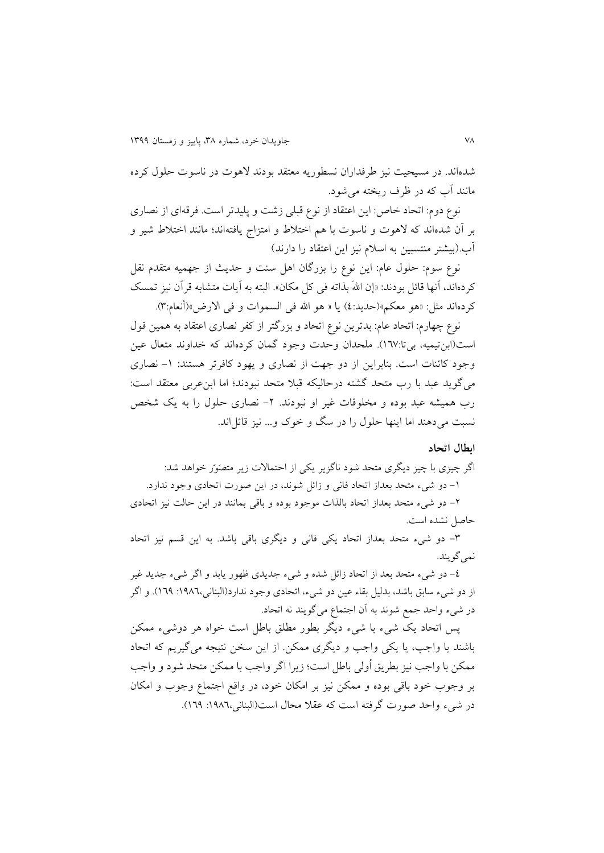شدهاند. در مسیحیت نیز طرفداران نسطوریه معتقد بودند لاهوت در ناسوت حلول کرده مانند آب كه در ظرف ريخته می شود.

نوع دوم: اتحاد خاص: اين اعتقاد از نوع قبلی زشت و پليدتر است. فرقهای از نصاری بر آن شدهاند که لاهوت و ناسوت با هم اختلاط و امتزاج يافتهاند؛ مانند اختلاط شیر و آب.(بیشتر منتسبین به اسلام نیز این اعتقاد را دارند)

نوع سوم: حلول عام: اين نوع را بزرگان اهل سنت و حديث از جهميه متقدم نقل كردهاند، آنها قائل بودند: «إن اللهَ بذاته فی كل مكان». البته به آيات متشابه قرآن نيز تمسك كردهاند مثل: «هو معكم»(حديد:٤) يا « هو الله في السموات و في الارض»(أنعام:٣).

نوع چهارم: اتحاد عام: بدترين نوع اتحاد و بزرگتر از كفر نصاری اعتقاد به همين قول است(ابن تیمیه، بیتا:١٦٧). ملحدان وحدت وجود گمان کردهاند که خداوند متعال عین وجود کائنات است. بنابراين از دو جهت از نصاری و يهود کافرتر هستند: ١- نصاری می گويد عبد با رب متحد گشته درحاليكه قبلا متحد نبودند؛ اما ابنءربی معتقد است: رب همیشه عبد بوده و مخلوقات غیر او نبودند. ۲- نصاری حلول را به یک شخص نسبت می دهند اما اینها حلول را در سگ و خوک و... نیز قائل اند.

#### **ابطال اتحاد**

اگر چیزی با چیز دیگری متحد شود ناگزیر یکی از احتمالات زیر متصَوّر خواهد شد: -9 دو شیء متحد بعداز اتحاد فانی و زا ل شوند، در اين صورت اتحادی وجود ندارد. -2 دو شیء متحد بعداز اتحاد بالذات موجود بوده و باالی بمانند در اين حالت نیز اتحادی حاصل نشده است.

-8 دو شیء متحد بعداز اتحاد يری فانی و ديگری باالی باشد. به اين السم نیز اتحاد نمي گويند.

-6 دو شیء متحد بعد از اتحاد زا ل شده و شیء جديدی ظهور يابد و اگر شیء جديد غیر از دو شیء سابق باشد، بدلیل بقاء عین دو شیء، اتحادی وجود ندارد)البنانی:9134، 941(. و اگر در شیء واحد جمع شوند به آن اجتماع میگويند نه اتحاد.

پس اتحاد يک شيء با شيء ديگر بطور مطلق باطل است خواه هر دوشيء ممکن باشند يا واجب، يا يكي واجب و ديگری ممكن. از اين سخن نتيجه می گيريم كه اتحاد ممرن با واجب نیز بطريق اُولی باطل است؛ زيرا اگر واجب با ممرن متحد شود و واجب بر وجوب خود باقی بوده و ممکن نیز بر امکان خود، در واقع اجتماع وجوب و امکان در شیء واحد صورت گرفته است که عقلا محال است(البنانی،١٩٨٦: ١٦٩).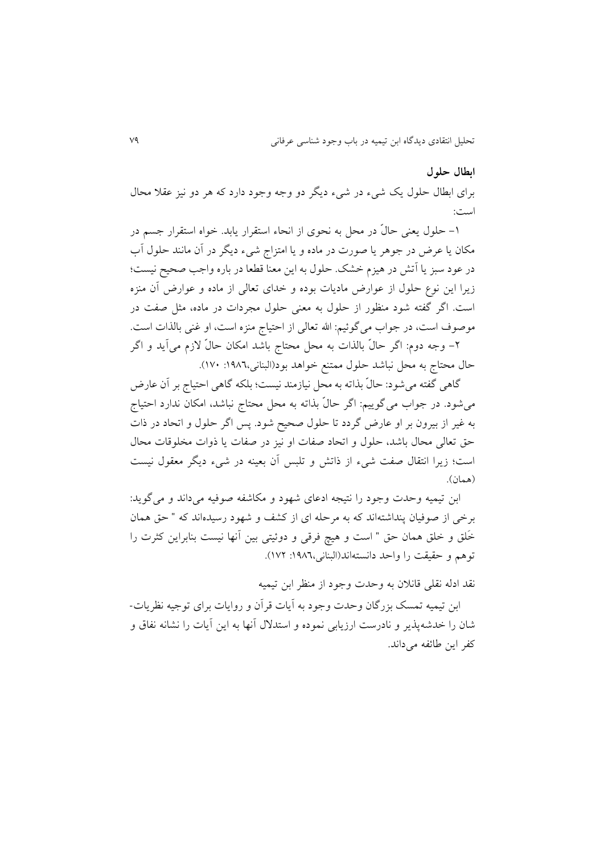#### **ابطال حلول**

برای ابطال حلول يک شيء در شيء ديگر دو وجه وجود دارد که هر دو نيز عقلا محال است:

-9 حلول يعنی حال در محل به نحوی از انحاء استقرار يابد. خواه استقرار جسم در مکان يا عرض در جوهر يا صورت در ماده و يا امتزاج شيء ديگر در آن مانند حلول آب در عود سبز يا آتش در هيزم خشک. حلول به اين معنا قطعا در باره واجب صحيح نيست؛ زيرا اين نوع حلول از عوارض ماديات بوده و خدای تعالی از ماده و عوارض آن منزه است. اگر گفته شود منظور از حلول به معنی حلول مجردات در ماده، مثل صفت در موصوف است، در جواب می گوئیم: الله تعالی از احتیاج منزه است، او غنی بالذات است. -2 وجه دوم: اگر حال بالذات به محل محتاق باشد امران حال خزم میآيد و اگر حال محتاج به محل نباشد حلول ممتنع خواهد بود(البنانی،١٩٨٦: ١٧٠).

گاهی گفته می شود: حالّ بذاته به محل نیازمند نیست؛ بلکه گاهی احتیاج بر آن عارض میشود. در جواب می گوییم: اگر حالٌ بذاته به محل محتاج نباشد، امکان ندارد احتیاج به غیر از بیرون بر او عارض گردد تا حلول صحیح شود. پس اگر حلول و اتحاد در یات حق تعالی محال باشد، حلول و اتحاد صفات او نیز در صفات يا یوات مخلوالات محال است؛ زيرا انتقال صفت شیء از یاتش و تلبس آن بعینه در شیء ديگر معقول نیست (همان).

ابن تیمیه وحدت وجود را نتیجه ادعای شهود و مکاشفه صوفیه میداند و میگوید: برخی از صوفیان پنداشتهاند که به مرحله ای از کشف و شهود رسیدهاند که " حق همان خَلق و خلق همان حق " است و هیچ فرقی و دوئیتی بین آنها نیست بنابراین کثرت را توهم و حقیقت را واحد دانستهاند(البنانی،١٩٨٦: ١٧٢).

نقد ادله نقلی قانلان به وحدت وجود از منظر ابن تیمیه

ابن تیمیه تمسک بزرگان وحدت وجود به آيات قرآن و روايات برای توجیه نظريات-شان را خدشهپذير و نادرست ارزيابی نموده و استدلال آنها به اين آيات را نشانه نفاق و كفر اين طائفه می داند.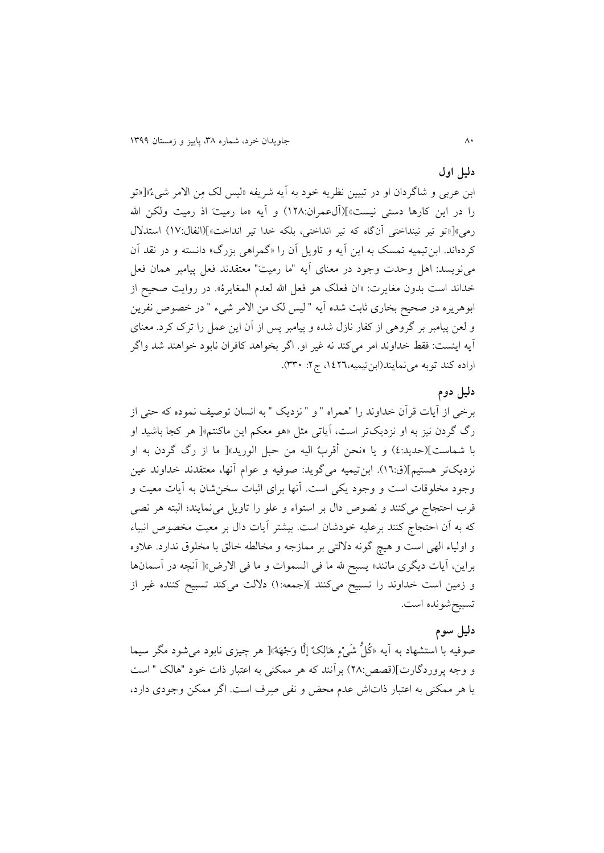## **دلیل اول**

ابن عربی و شاگردان او در تبیین نظريه خود به آيه شريفه »لیس لک مِن اخمر شیءٌ«]»تو را در اين كارها دستی نیست»](آل0عمران:۱۲۸) و آيه «ما رمیت اذ رمیت ولكن الله رمی»[«تو تیر نینداختی آنگاه که تیر انداختی، بلکه خدا تیر انداخت»](انفال:۱۷) استدلال کردهاند. ابن تیمیه تمسک به این آیه و تاویل آن را «گمراهی بزرگ» دانسته و در نقد آن می نويسد: اهل وحدت وجود در معنای آيه "ما رميت" معتقدند فعل پيامبر همان فعل خداند است بدون مغايرت: «ان فعلک هو فعل الله لعدم المغايرة». در روايت صحيح از ابوهريره در صحيح بخاري ثابت شده آيه " ليس لک من الامر شيء " در خصوص نفرين و لعن پیامبر بر گروهی از کفار نازل شده و پیامبر پس از آن این عمل را ترک کرد. معنای آيه اينست: فقط خداوند امر می كند نه غیر او. اگر بخواهد كافران نابود خواهند شد واگر اراده كند توبه می نمايند(ابنتيميه،١٤٢٦، ج٢: ٣٣٠).

## **دلیل دوم**

برخی از آيات قرآن خداوند را "همراه " و " نزديک " به انسان توصيف نموده كه حتی از رگ گردن نیز به او نزديکتر است، آياتی مثل » و معرم اين ماانتم«] ر اجا باشید او با شماست[)حديد6:( و يا »نحن أالربُ الیه من حبل الوريد«] ما از رگ گردن به او نزديکتر هستیم](ق:١٦). ابن تیمیه میگويد: صوفیه و عوام آنها، معتقدند خداوند عین وجود مخلوقات است و وجود يكي است. آنها برای اثبات سخن شان به آيات معيت و قرب احتجاج می کنند و نصوص دال بر استواء و علو را تاويل می نمايند؛ البته هر نصی كه به آن احتجاج كنند برعلیه خودشان است. بیشتر آیات دال بر معیت مخصوص انبیاء و اولیاء الهی است و یچ گونه دخلتی بر ممازجه و مخالطه خالق با مخلوق ندارد. عآوه براين، آيات ديگرى مانند« يسبح لله ما في السموات و ما في الارض»[ آنچه در آسمانها و زمین است خداوند را تسبیح میکنند ](جمعه:۱) دلالت میکند تسبیح کننده غیر از تسبیحشونده است.

#### **دلیل سوم**

صوفیه با استشهاد به آیه «کُلُّ شَیْءٍ هَالِکٌ إلَّا وَجْهَهُ»[ هر چیزی نابود می شود مگر سیما و وجه پروردگارت](قصص:۲۸) بر آنند که هر ممکنی به اعتبار ذات خود "هالک " است يا هر ممكنی به اعتبار ذاتاش عدم محض و نفی صِرف است. اگر ممكن وجودی دارد،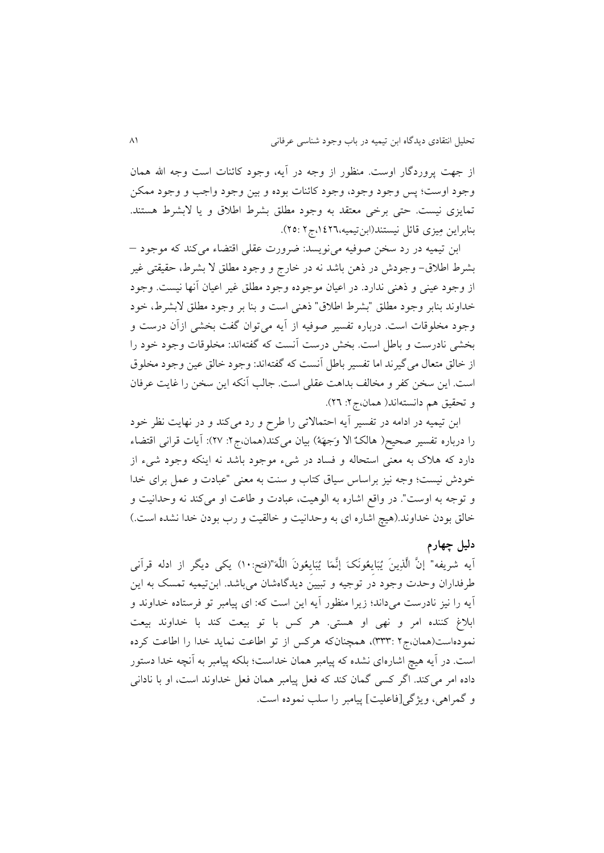از جهت پروردگار اوست. منظور از وجه در آيه، وجود كائنات است وجه الله همان وجود اوست؛ پس وجود وجود، وجود كائنات بوده و بين وجود واجب و وجود ممكن تمايزی نيست. حتى برخی معتقد به وجود مطلق بشرط اطلاق و يا لابشرط هستند. بنابراین مِیزی قائل نیستند(ابنتیمیه،١٤٢٦،ج ٢٥:٢٥).

ابن تیمیه در رد سخن صوفیه می نویسد: ضرورت عقلی اقتضاء می کند که موجود – بشرط اطلاق- وجودش در ذهن باشد نه در خارج و وجود مطلق لا بشرط، حقیقتی غیر از وجود عینی و ذهنی ندارد. در اعیان موجوده وجود مطلق غیر اعیان آنها نیست. وجود خداوند بنابر وجود مطلق "بشرط اطلاق" ذهنی است و بنا بر وجود مطلق لابشرط، خود وجود مخلوقات است. درباره تفسیر صوفیه از آیه می توان گفت بخشی ازآن درست و بخشی نادرست و باطل است. بخش درست آنست که گفتهاند: مخلوقات وجود خود را از خالق متعال می گیرند اما تفسیر باطل آنست که گفتهاند: وجود خالق عین وجود مخلوق است. اين سخن كفر و مخالف بداهت عقلی است. جالب آنكه اين سخن را غايت عرفان و تحقیق هم دانستهاند( همان،ج۲: ۲٦).

ابن تیمیه در ادامه در تفسیر آیه احتمالاتی را طرح و رد می کند و در نهایت نظر خود را درباره تفسیر صحیح( هالکٌ الا وَجهَهُ) بیان میکند(همان،ج۲: ۲۷): آیات قرانی اقتضاء دارد كه هلاك به معنی استحاله و فساد در شیء موجود باشد نه اینكه وجود شیء از خودش نیست؛ وجه نیز براساس سیاق کتاب و سنت به معنی "عبادت و عمل برای خدا و توجه به اوست". در واقع اشاره به الوهیت، عبادت و طاعت او می کند نه وحدانیت و خالق بودن خداوند.(هیچ اشاره ای به وحدانیت و خالقیت و رب بودن خدا نشده است.)

#### **دلیل چهارم**

آيه شريفه" إنَّ الَّذِينَ يُبَايِعُونَکَ إنَّمَا يُبَايِعُونَ اللَّه"(فتح:١٠) يکي ديگر از ادله قرآني طرفداران وحدت وجود در توجیه و تبیین ديدگاهشان میباشد. ابنتیمیه تمسک به اين آيه را نيز نادرست می داند؛ زيرا منظور آيه اين است كه: ای پیامبر تو فرستاده خداوند و ابلاغ کننده امر و نهی او هستی. هر کس با تو بیعت کند با خداوند بیعت نمودهاست(همان،ج۲ :۳۳۳)، همچنانکه هرکس از تو اطاعت نمايد خدا را اطاعت کرده است. در آيه هيچ اشارهای نشده كه پیامبر همان خداست؛ بلكه پیامبر به آنچه خدا دستور داده امر می کند. اگر کسی گمان کند که فعل پیامبر همان فعل خداوند است، او با نادانی و گمراهی، ويژگی[فاعلیت] پیامبر را سلب نموده است.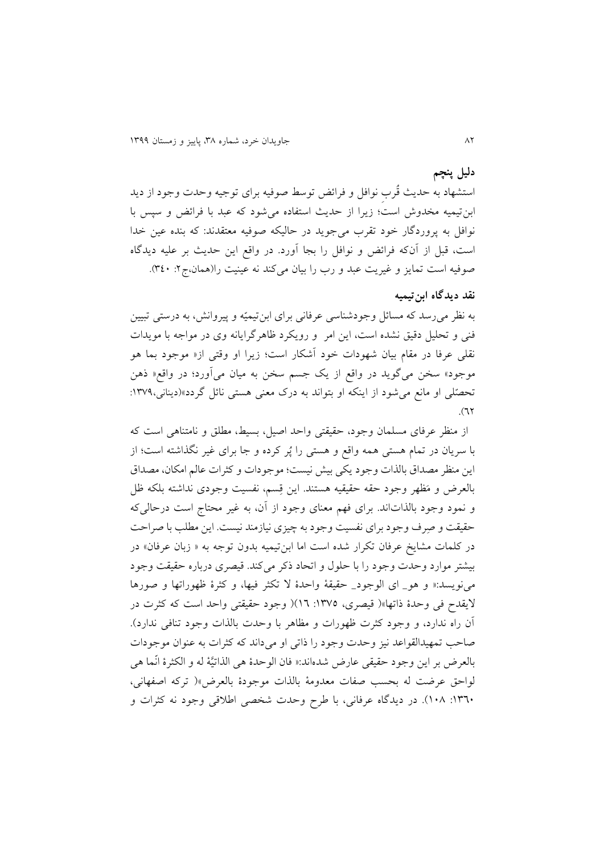## **دلیل پنچم**

استشهاد به حديث قُربِ نوافل و فرائض توسط صوفیه برای توجیه وحدت وجود از ديد ابن تيميه مخدوش است؛ زيرا از حديث استفاده می شود كه عبد با فرائض و سپس با نوافل به پروردگار خود تقرب می جوید در حالیکه صوفیه معتقدند: که بنده عین خدا است، قبل از آن كه فرائض و نوافل را بجا آورد. در واقع اين حديث بر عليه ديدگاه صوفیه است تمایز و غیریت عبد و رب را بیان میکند نه عینیت را(همان،ج ۲: ۳٤٠).

## **نقد دیدگاه ابنتیمیه**

به نظر می رسد که مسائل وجودشناسی عرفانی برای ابنتیمیّه و پیروانش، به درستی تبیین فنی و تحليل دقيق نشده است، اين امر و رويكرد ظاهرگرايانه وی در مواجه با مويدات نقلی عرفا در مقام بیان شهودات خود آشرار است؛ زيرا او والتی از» موجود بما و موجود» سخن میگويد در واقع از يک جسم سخن به ميان میآورد؛ در واقع« ذهن تحصّلی او مانع می شود از اينکه او بتواند به درک معنی هستی نائل گردد»(دينانی،١٣٧٩:  $(77)$ 

از منظر عرفای مسلمان وجود، حقیقتی واحد اصیل، بسیط، مطلق و نامتناهی است که با سريان در تمام هستی همه واقع و هستی را پُر كرده و جا برای غیر نگذاشته است؛ از اين منظر مصداق بالذات وجود يكي بيش نيست؛ موجودات و كثرات عالم امكان، مصداق بالعرض و مَظهر وجود حقه حقیقیه هستند. این قِسم، نفسیت وجودی نداشته بلکه ظل و نمود وجود بالذاتاند. برای فهم معنای وجود از آن، به غیر محتاج است درحالی که حقیقت و صِرف وجود برای نفسیت وجود به چیزی نیازمند نیست. اين مطلب با صراحت در کلمات مشايخ عرفان تکرار شده است اما ابنتیمیه بدون توجه به « زبان عرفان» در بیشتر موارد وحدت وجود را با حلول و اتحاد ذکر می کند. قیصری درباره حقیقت وجود می نویسد:« و هو\_ ای الوجود\_ حقیقهٔ واحدهٔ لا تکثر فیها، و کثرهٔ ظهوراتها و صورها خيقدح فی وحدة یاتها«) الیصری، :9866 94() وجود حقیقتی واحد است اه اثرت در آن راه ندارد، و وجود کثرت ظهورات و مظاهر با وحدت بالذات وجود تنافی ندارد). صاحب تمهیدالقواعد نیز وحدت وجود را ذاتی او می داند که کثرات به عنوان موجودات بالعرض بر اين وجود حقيقی عارض شدهاند:« فان الوحدهٔ هی الذاتیَّة له و الکثرهٔ انّما هی لواحق عرضت له بحسب صفات معدومة بالذات موجودة بالعرض«) تراه اصفهانی، ١٣٦٠: ١٠٨). در ديدگاه عرفاني، با طرح وحدت شخصی اطلاقی وجود نه كثرات و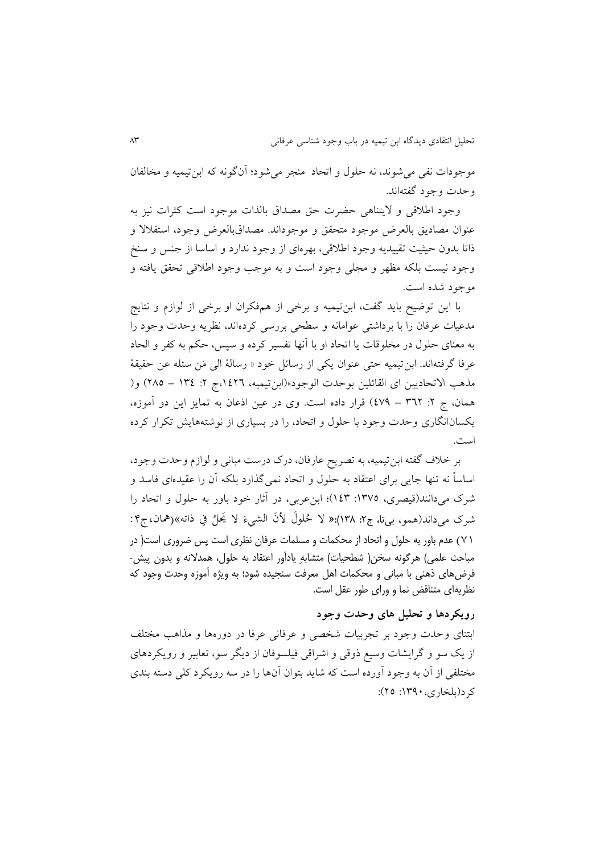موجودات نفی می شوند، نه حلول و اتحاد ً منجر می شود؛ آنگونه که ابن تیمیه و مخالفان وحدت وجود گفتهاند.

وجود اطلاقی و لایتناهی حضرت حق مصداق بالذات موجود است کثرات نیز به عنوان مصاديق بالعرض موجود متحقق و موجوداند. مصداقبالعرض وجود، استقلالا و یاتا بدون حیثیت تقییديه وجود اطآالی، بهرهای از وجود ندارد و اساسا از جنس و سنخ وجود نیست بلکه مظهر و مجلی وجود است و به موجب وجود اطلاقی تحقق یافته و موجود شده است.

با اين توضیح بايد گفت، ابنتیمیه و برخی از مفرران او برخی از لوازم و نتايج مدعیات عرفان را با برداشتی عوامانه و سطحی بررسی کردهاند، نظریه وحدت وجود را به معنای حلول در مخلوقات يا اتحاد او با آنها تفسير كرده و سپس، حكم به كفر و الحاد عرفا گرفتهاند. ابن تیمیه حتی عنوان يكي از رسائل خود « رسالهٔ الی مَن سئله عن حقیقهٔ مذهب الاتحاديین ای القائلین بوحدت الوجود»(ابن تیمیه، ١٤٢٦،ج ٢: ١٣٤ – ٢٨٥) و( همان، ج ٢: ٣٦٢ – ٤٧٩) قرار داده است. وی در عین اذعان به تمايز اين دو آموزه، يکسانانگاری وحدت وجود با حلول و اتحاد، را در بسياری از نوشتههايش تکرار کرده است.

بر خآف گفته ابنتیمیه، به تصريح عارفان، درک درست مبانی و لوازم وحدت وجود، اساساً نه تنها جايی برای اعتقاد به حلول و اتحاد نمیگذارد بلره آن را عقیدهای فاسد و شرک میدانند(قیصری، ١٣٧٥: ١٤٣)؛ ابن عربی، در آثار خود باور به حلول و اتحاد را شرک میداند(همو، بی**تا، ج۲: ۱۳۸):« لا ځ**لولَ لأنَ الشيءَ لا يَحلُ في ذاته»(همان،ج۴:<br>. .<br>ب  $\overline{\phantom{a}}$ 17( عدم باور به حلول و اتحاد از محکمات و مسلمات عرفان نظری است پس ضروری است) در مباحث علمی) هرگونه سخن( شطحیات) متشابهِ یادآور اعتقاد به حلول، همدلانه و بدون پیش-فرضهای ذهنی با مبانی و محکمات اهل معرفت سنجیده شود؛ به ویژه آموزه وحدت وجود که نظریهای متناقض نما و ورای طور عقل است.

## **رویکردها و تحلیل های وحدت وجود**

ابتنای وحدت وجود بر تجربیات شخصی و عرفانی عرفا در دورهها و مذاهب مختلف از يک سو و گرايشات وسيع ذوقي و اشراقي فيلسوفان از ديگر سو، تعابير و رويکردهاي مختلفی از آن به وجود آورده است كه شايد بتوان آنها را در سه رويكرد كلی دسته بندی کر د(بلخاری، ۱۳۹۰: ۲۵):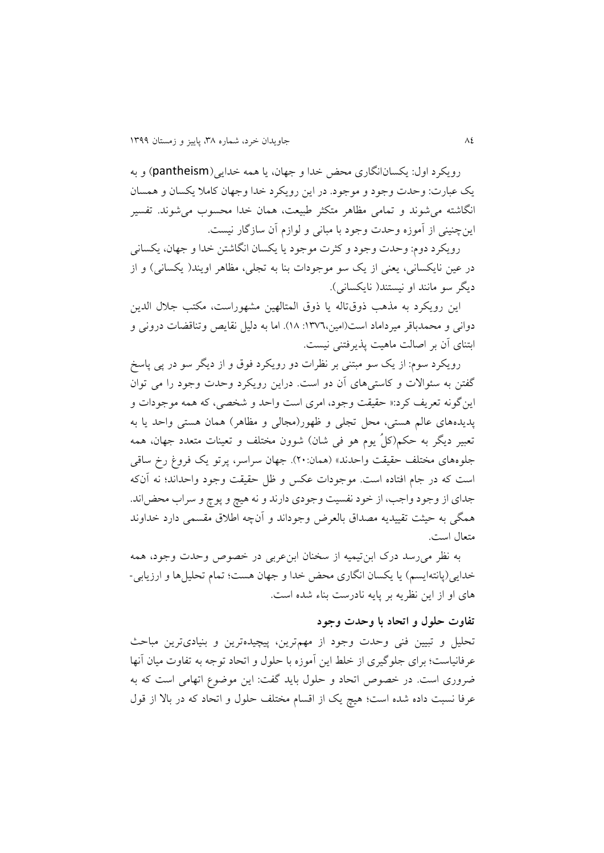رويررد اول: يرسانانگاری محض خدا و جهان، يا مه خدايی)pantheism )و به يک عبارت: وحدت وجود و موجود. در اين رويکرد خدا وجهان كاملا يكسان و همسان انگاشته می شوند و تمامی مظاهر متکثر طبیعت، همان خدا محسوب می شوند. تفسیر اينچنینی از آموزه وحدت وجود با مبانی و لوازم آن سازگار نیست.

رويكرد دوم: وحدت وجود و كثرت موجود يا يكسان انگاشتن خدا و جهان، يكساني در عین نايكسانی، يعنی از يک سو موجودات بنا به تجلی، مظاهر اويند( يكسانی) و از ديگر سو مانند او نيستند( نايكسانی).

اين رويكرد به مذهب ذوقتاله يا ذوق المتالهين مشهوراست، مكتب جلال الدين دوانی و محمدباقر میرداماد است(امین،١٣٧٦: ١٨). اما به دلیل نقایص وتناقضات درونی و ابتنای آن بر اصالت ما یت پذيرفتنی نیست.

رويکرد سوم: از يک سو مبتنی بر نظرات دو رويکرد فوق و از ديگر سو در پی پاسخ گفتن به سئوالات و كاستی های آن دو است. دراين رويكرد وحدت وجود را می توان اين گونه تعريف كرد:« حقيقت وجود، امرى است واحد و شخصي، كه همه موجودات و پديده های عالم هستی، محل تجلی و ظهور(مجالی و مظاهر) همان هستی واحد يا به تعبیر دیگر به حکم(کلُ يوم هو فی شان) شوون مختلف و تعینات متعدد جهان، همه جلوههای مختلف حقیقت واحدند» (همان:۲۰). جهان سراسر، پرتو یک فروغ رخ ساقی است که در جام افتاده است. موجودات عکس و ظل حقیقت وجود واحداند؛ نه آنکه جدای از وجود واجب، از خود نفسیت وجودی دارند و نه یچ و پوچ و سراب محضاند. مگی به حیثت تقییديه مصداق بالعرض وجوداند و آنچه اطآق مقسمی دارد خداوند متعال است.

به نظر میرسد درک ابنتیمیه از سخنان ابنعربی در خصوص وحدت وجود، مه خدايی(پانتهايسم) يا يكسان انگاری محض خدا و جهان هست؛ تمام تحليل ها و ارزيابی-ای او از اين نظريه بر پايه نادرست بناء شده است.

## **تفاوت حلول و اتحاد با وحدت وجود**

تحلیل و تبیین فنی وحدت وجود از مهمترين، پیچیدهترين و بنیادیترين مباحث عرفانیاست؛ برای جلوگیری از خلط اين آموزه با حلول و اتحاد توجه به تفاوت میان آنها ضروری است. در خصوص اتحاد و حلول بايد گفت: اين موضوع اتهامى است اه به عرفا نسبت داده شده است؛ هيچ يک از اقسام مختلف حلول و اتحاد که در بالا از قول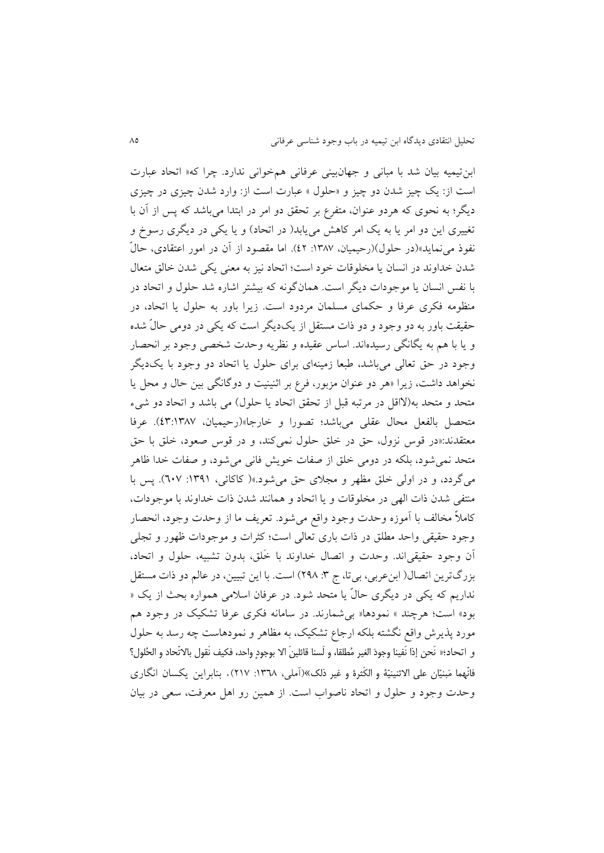ابن تیمیه بیان شد با مبانی و جهانبینی عرفانی همخوانی ندارد. چرا که« اتحاد عبارت است از: يک چیز شدن دو چیز و »حلول « عبارت است از: وارد شدن چیزى در چیزى ديگر؛ به نحوی که هردو عنوان، متفرع بر تحقق دو امر در ابتدا مىباشد که پس از آن با تغییرى این دو امر یا به يک امر کاهش مىيابد( در اتحاد) و يا يکى در ديگرى رسوخ و نفوی مىنمايد«)در حلول()رحیمیان، :9836 62(. اما مقصود از آن در امور اعتقادی، حال شدن خداوند در انسان يا مخلوقات خود است؛ اتحاد نيز به معنی يكي شدن خالق متعال با نفس انسان يا موجودات ديگر است. همان گونه كه بيشتر اشاره شد حلول و اتحاد در منظومه فرری عرفا و حرمای مسلمان مردود است. زيرا باور به حلول يا اتحاد، در حقیقت باور به دو وجود و دو ذات مستقل از يکديگر است که يکي در دومی حالّ شده و يا با هم به يگانگى رسيدهاند. اساس عقيده و نظريه وحدت شخصى وجود بر انحصار وجود در حق تعالى مىباشد، طبعا زمینهاى براى حلول يا اتحاد دو وجود با يکديگر نخواهد داشت، زيرا «هر دو عنوان مزبور، فرع بر اثنينيت و دوگانگى بين حال و محل يا متحد و متحد به(لااقل در مرتبه قبل از تحقق اتحاد يا حلول) مى باشد و اتحاد دو شىء متحصل بالفعل محال عقلى مىباشد؛ تصورا و خارجا«)رحیمیان، 68:9836(. عرفا معتقدند:«در قوس نزول، حق در خلق حلول نمی کند، و در قوس صعود، خلق با حق متحد نمی شود، بلکه در دومی خلق از صفات خويش فانی می شود، و صفات خدا ظاهر میگردد، و در اولی خلق مظهر و مجلای حق میشود.»( کاکائی، ۱۳۹۱: ٦٠٧). پس با منتفی شدن ذات الهی در مخلوقات و يا اتحاد و همانند شدن ذات خداوند با موجودات، كاملاً مخالف با آموزه وحدت وجود واقع میشود. تعريف ما از وحدت وجود، انحصار وجود حقیقی واحد مطلق در یات باری تعالی است؛ اثرات و موجودات ظهور و تجلی آن وجود حقیقیاند. وحدت و اتصال خداوند با ختلق، بدون ت بیه، حلول و اتحاد، بزرگترين اتصال( ابن عربي، بيتا، ج ٣: ٢٩٨) است. با اين تبيين، در عالم دو ذات مستقل نداريم كه يكي در ديگري حالّ يا متحد شود. در عرفان اسلامی همواره بحث از يک « بود» است؛ هرچند » نمودها« بی شمارند. در سامانه فکری عرفا تشکیک در وجود هم مورد پذيرش واقع نگشته بلکه ارجاع تشکيک، به مظاهر و نمودهاست چه رسد به حلول و اتحاد؛« نَحن إذا نَفينا وجودَ الغير مُطلقا، و لَسنا قائلينَ الا بوجودٍ واحد، فكيف نَقول بالاتّحاد و الحُلول؟ فانّهما مَبنيّان على الاثنينيّة و الكَثرة و غير ذلك»(آملي، ١٣٦٨: ٢١٧). بنابراين يكسان انگاري وحدت وجود و حلول و اتحاد ناصواب است. از همین رو اهل معرفت، سعى در بیان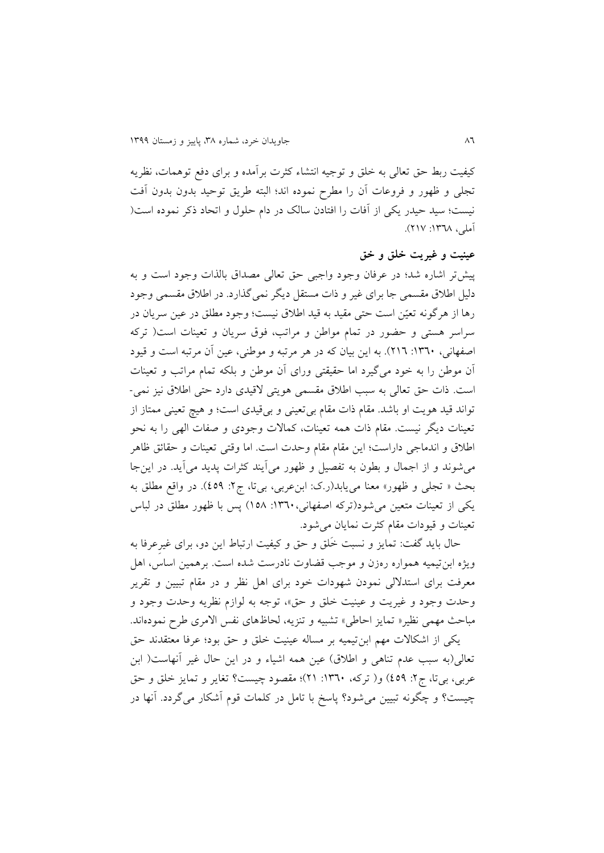کیفیت ربط حق تعالى به خلق و توجیه انتشاء کثرت برآمده و براى دفع توهمات، نظريه تجلى و ظهور و فروعات آن را مطرح نموده اند؛ البته طريق توحید بدون بدون آفت نیست؛ سید حیدر یکی از آفات را افتادن سالک در دام حلول و اتحاد ذکر نموده است( آملی، ۱۳۶۸: ۲۱۷).

## **عینیت و غیریت خلق و خق**

پیشتر اشاره شد؛ در عرفان وجود واجبی حق تعالی مصداق بالذات وجود است و به دلیل اطآق مقسمی جا برای غیر و یات مستقل ديگر نمیگذارد. در اطآق مقسمی وجود رها از هرگونه تعیّن است حتی مقید به قید اطلاق نیست؛ وجود مطلق در عین سریان در سراسر هستی و حضور در تمام مواطن و مراتب، فوق سریان و تعینات است( ترکه اصفهانی، ۱۳٦۰: ۲۱٦). به این بیان که در هر مرتبه و موطنی، عین آن مرتبه است و قیود آن موطن را به خود میگیرد اما حقیقتی ورای آن موطن و بلره تمام مراتب و تعینات است. ذات حق تعالی به سبب اطلاق مقسمی هویتی لاقیدی دارد حتی اطلاق نیز نمی-تواند قید هویت او باشد. مقام ذات مقام بی تعینی و بیقیدی است؛ و هیچ تعینی ممتاز از تعینات دیگر نیست. مقام ذات همه تعینات، کمالات وجودی و صفات الهی را به نحو اطلاق و اندماجی داراست؛ این مقام مقام وحدت است. اما وقتی تعینات و حقائق ظاهر میشوند و از اجمال و بطون به تفصیل و ظهور میآيند اثرات پديد میآيد. در اينجا بحث « تجلی و ظهور» معنا می یابد(ر.ک: ابن عربی، بیتا، ج۲: ٤٥٩). در واقع مطلق به يری از تعینات متعین میشود)تراه اصفهانی:9841، 963( پس با ظهور مطلق در لباس تعینات و قیودات مقام کثرت نمایان می شود.

حال بايد گفت: تمايز و نسبت ختلق و حق و ایفیت ارتباط اين دو، برای غیرِعرفا به ويژه ابن تيميه همواره رهزن و موجب قضاوت نادرست شده است. برهمين اساس، اهل معرفت برای استدلالی نمودن شهودات خود برای اهل نظر و در مقام تبیین و تقریر وحدت وجود و غیریت و عینیت خلق و حق»، توجه به لوازم نظریه وحدت وجود و مباحث مهمی نظیر« تمایز احاطی» تشبیه و تنزیه، لحاظهای نفس الامری طرح نمودهاند.

یکی از اشکالات مهم ابن تیمیه بر مساله عینیت خلق و حق بود؛ عرفا معتقدند حق تعالی(به سبب عدم تناهی و اطلاق) عین همه اشیاء و در این حال غیر آنهاست( ابن عربی، بیتا، ج٢: ٤٥٩) و( تركه، ١٣٦٠: ٢١)؛ مقصود چیست؟ تغاير و تمايز خلق و حق چیست؟ و چگونه تبیین می شود؟ پاسخ با تامل در کلمات قوم آشکار می گردد. آنها در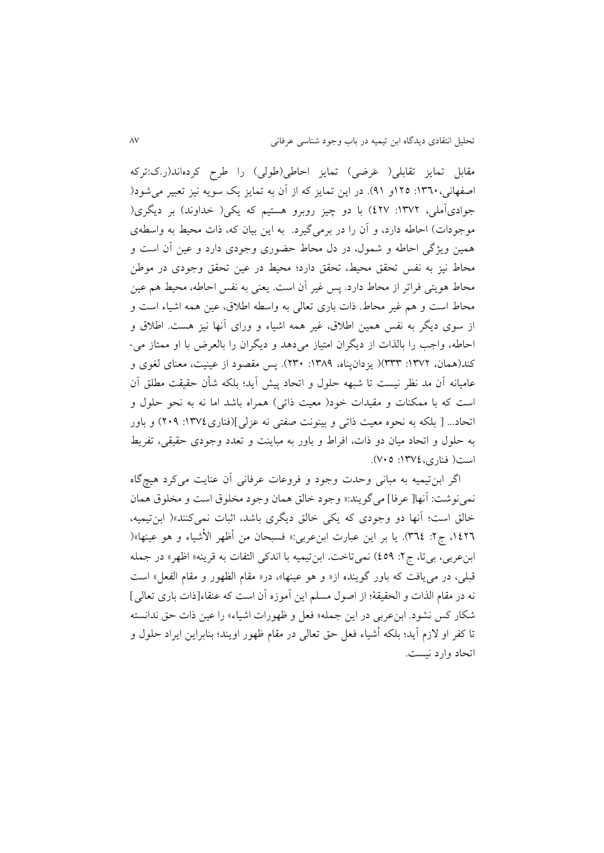مقابل تمايز تقابلی( عَرضی) تمايز احاطی(طولی) را طرح کردهاند(ر.ک:ترکه اصفهانی، ١٣٦٠: ١٢٥و ٩١). در اين تمايز كه از آن به تمايز يک سويه نيز تعبير می شود( جوادیآملی، ۱۳۷۲: ٤٢٧) با دو چیز روبرو هستیم که يکی( خداوند) بر ديگری( موجودات) احاطه دارد، و آن را در برمیگیرد. به این بیان که، ذات محیط به واسطهی مین ويژگی احاطه و شمول، در دل محاط حضوری وجودی دارد و عین آن است و محاط نیز به نفس تحقق محیط، تحقق دارد؛ محیط در عین تحقق وجودی در موطن محاط هويتی فراتر از محاط دارد. پس غیر آن است. يعنی به نفس احاطه، محیط هم عین محاط است و هم غیر محاط. ذات باری تعالی به واسطه اطلاق، عین همه اشیاء است و از سوی ديگر به نفس همين اطلاق، غیر همه اشیاء و ورای آنها نیز هست. اطلاق و احاطه، واجب را بالذات از ديگران امتیاز مید د و ديگران را بالعرض با او ممتاز می- کند(همان، ١٣٧٢: ٣٣٣)( يزدانپناه، ١٣٨٩: ٣٣٠). پس مقصود از عینیت، معنای لغوی و عامیانه آن مد نظر نیست تا شبهه حلول و اتحاد پیش آيد؛ بلره شأن حقیقت مطلق آن است که با ممکنات و مقیدات خود( معیت ذاتی) همراه باشد اما نه به نحو حلول و اتحاد... [ بلکه به نحوه معیت ذاتی و بینونت صفتی نه عزلی](فناری،١٣٧٤: ٢٠٩) و باور به حلول و اتحاد میان دو یات، افراط و باور به مباينت و تعدد وجودی حقیقی، تفريط است) فناری:9866، 616(.

اگر ابنتیمیه به مبانی وحدت وجود و فروعات عرفانی آن عنایت میکرد هیچگاه نمی نوشت: آنها[ عرفا] می گويند:« وجود خالق همان وجود مخلوق است و مخلوق همان خالق است؛ آنها دو وجودی که يکی خالق ديگری باشد، اثبات نمی کنند»( ابن تيميه، ،9624 ق:2 846(. يا بر اين عبارت ابنعربی:» فسبحان من أظهر األشیاء و و عینها«) ابن عربی، بیتا، ج٢: ٤٥٩) نمیتاخت. ابنتیمیه با اندکی التفات به قرینه« اظهر» در جمله قبلی، در می یافت که باور گوینده از« و هو عینها»، در« مقام الظهور و مقام الفعل» است نه در مقام الذات و الحقیقهٔ؛ از اصول مسلم این آموزه آن است که عنقاء[ذات باری تعالی] شکار کس نشود. ابن عربی در این جمله« فعل و ظهورات اشیاء» را عین ذات حق ندانسته تا كفر او لازم آيد؛ بلكه أشياء فعل حق تعالى در مقام ظهور اويند؛ بنابراين ايراد حلول و اتحاد وارد نیست.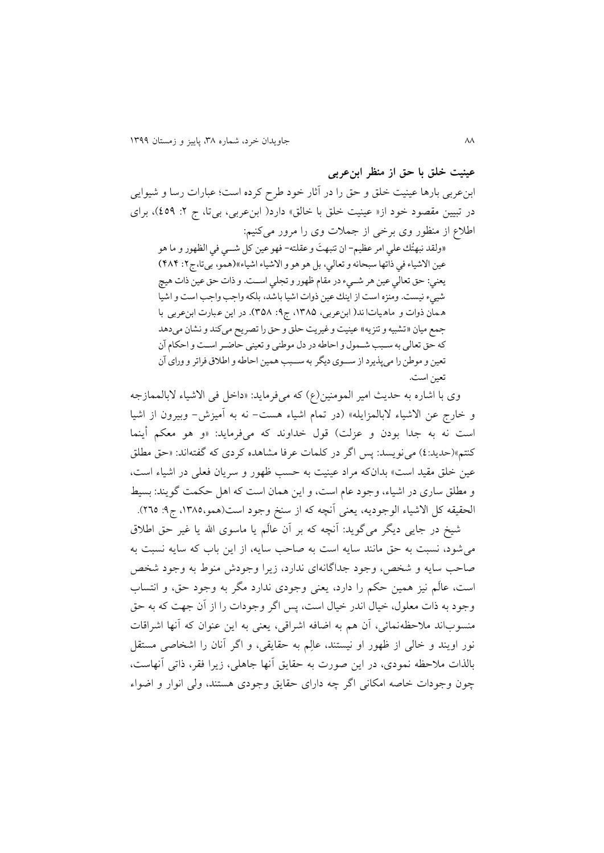**عینیت خلق با حق از منظر ابنعربی** ابنءربی بارها عینیت خلق و حق را در آثار خود طرح کرده است؛ عبارات رسا و شیوایی در تبیین مقصود خود از« عینیت خلق با خالق» دارد( ابن عربی، بیتا، ج ۲: ٤٥٩)، برای اطلاع از منظور وی برخی از جملات وی را مرور میکنیم:

«ولقد نبهتُك علي امر عظيم- ان تنبهتَ و عقلته- فهو عين كل شـــي في الظهور و ما هو و<br>م  $\ddot{\phantom{0}}$ عين الاشياء في ذاتها سبحانه و تعالي، بل هو هو و الاشياء اشياء»(همو، بيتا،ج٢: ٤٨٤) یعني: حق تعالي عين هر شمميء در مقام ظهور و تجلي اسممت. و ذات حق عين ذات هي شييء نيست. ومنزه است از اینك عين ذوات اشيا باشد، بلکه واجب واجب است و اشيا ه مان ذوات و ماه يات اند( ابن عربي، ١٣٨٥، ج٩: ٣٥٨). در اين عبارت ابن عربي با جمع ميان «تشبيه و تنزيه» عينيت و غيريت حلق و حق را تصريح مي كند و نشان مي دهد كه حق تعالی به سـبب شـمول و احاطه در دل موطنی و تعينی حاضـر اسـت و احکام آن تعين و موطن را مي پذيرد از سـوي ديگر به سـبب همين احاطه و اطلاق فراتر و وراي آن تعين است.

وی با اشاره به حديث امير المومنين(ع) كه میفرمايد: «داخل فی الاشياء لابالممازجه و خارج عن الاشیاء لابالمزايله» (در تمام اشیاء هست- نه به آمیزش- وبیرون از اشیا است نه به جدا بودن و عزلت) قول خداوند كه میفرمايد: «و هو معكم أينما کنتم»(حديد:٤) می نويسد: پس اگر در كلمات عرفا مشاهده كردی كه گفتهاند: «حق مطلق عین خلق مقید است» بدانکه مراد عینیت به حسب ظهور و سریان فعلی در اشیاء است، و مطلق ساری در اشیاء، وجود عام است، و اين همان است كه اهل حكمت گويند: بسيط الحقیقه کل الاشیاء الوجودیه، یعنی آنچه که از سنخ وجود است(همو،١٣٨٥، ج٩: ٢٦٥).

شیخ در جايی ديگر میگويد: آنچه كه بر آن عالَم يا ماسوی الله يا غیر حق اطلاق می شود، نسبت به حق مانند سايه است به صاحب سايه، از اين باب كه سايه نسبت به صاحب سايه و شخص، وجود جداگانهای ندارد، زيرا وجودش منوط به وجود شخص است، عالتم نیز مین حرم را دارد، يعنی وجودی ندارد مگر به وجود حق، و انتساب وجود به ذات معلول، خیال اندر خیال است، پس اگر وجودات را از آن جهت که به حق منسوباند ملاحظهنمائی، آن هم به اضافه اشراقی، يعنی به اين عنوان كه آنها اشراقات نور اويند و خالی از ظهور او نیستند، عالِم به حقايقی، و اگر آنان را اشخاصی مستقل بالذات ملاحظه نمودی، در اين صورت به حقايق آنها جاهلی، زيرا فقر، ذاتی آنهاست، چون وجودات خاصه امرانی اگر چه دارای حقايق وجودی ستند، ولی انوار و اضواء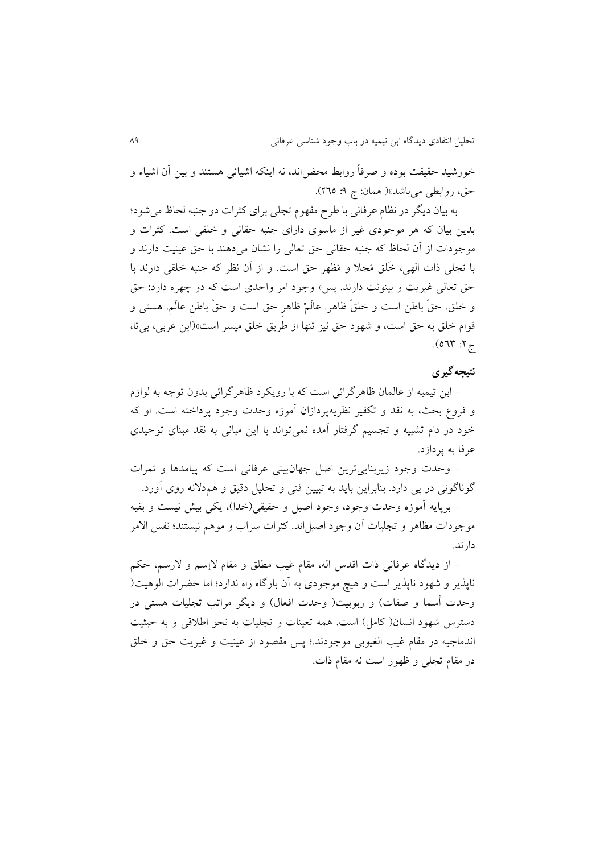خورشید حقیقت بوده و صرفاً روابط محض۱ند، نه اینکه اشیائی هستند و بین آن اشیاء و حق، روابطی میباشد»( همان: ج ۹: ۲٦٥).

به بیان دیگر در نظام عرفانی با طرح مفهوم تجلی برای کثرات دو جنبه لحاظ میشود؛ بدين بيان كه هر موجودی غیر از ماسوی دارای جنبه حقانی و خلقی است. كثرات و موجودات از آن لحاظ که جنبه حقانی حق تعالی را نشان میدهند با حق عینیت دارند و با تجلی ذات الهی، خَلق مَجلاً و مَظهر حق است. و از آن نظر که جنبه خلقی دارند با حق تعالی غیریت و بینونت دارند. پس «وجود امر واحدی است که دو چهره دارد: حق و خلق. حقْ باطن است و خلقْ ظاهر. عالَمْ ظاهر حق است و حقْ باطنِ عالَم. هستی و الوام خلق به حق است، و شهود حق نیز تنها از طريق خلق میسر است«)ابن عربی، بیتا،  $5.2$  77° 6).

## **نتیجهگیری**

– ابن تیمیه از عالمان ظاهرگرائی است که با رویکرد ظاهرگرائی بدون توجه به لوازم و فروع بحث، به نقد و تکفیر نظریهپردازان آموزه وحدت وجود پرداخته است. او که خود در دام تشبیه و تجسیم گرفتار آمده نمی تواند با این مبانی به نقد مبنای توحیدی عرفا به پردازد.

– وحدت وجود زيربنايی ترين اصل جهانبينی عرفانی است كه پیامدها و ثمرات گوناگونی در پی دارد. بنابراین باید به تبیین فنی و تحلیل دقیق و هم<لانه روی آورد.

- برپايه آموزه وحدت وجود، وجود اصیل و حقیقی)خدا(، يری بیش نیست و بقیه موجودات مظاهر و تجلیات آن وجود اصیل!ند. کثرات سراب و موهم نیستند؛ نفس الامر دارند.

– از ديدگاه عرفانی ذات اقدس اله، مقام غيب مطلق و مقام لاإسم و لارسم، حكم ناپذير و شهود ناپذير است و یچ موجودی به آن بارگاه راه ندارد؛ اما حضرات الو یت) وحدت أسما و صفات) و ربوبیت( وحدت افعال) و دیگر مراتب تجلیات هستی در دسترس شهود انسان( کامل) است. همه تعینات و تجلیات به نحو اطلاقی و به حیثیت اندماجیه در مقام غیب الغیوبی موجودند.؛ پس مقصود از عینیت و غیريت حق و خلق در مقام تجلی و ظهور است نه مقام یات.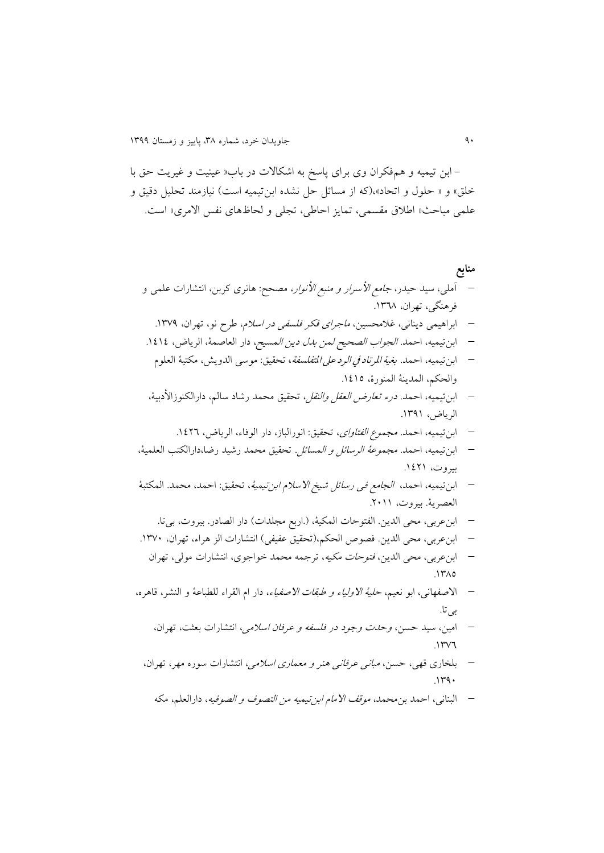- ابن تیمیه و مفرران وی برای پاسخ به اشراخت در باب» عینیت و غیريت حق با خلق» و « حلول و اتحاد»،(که از مسائل حل نشده ابنتیمیه است) نیازمند تحلیل دقیق و علمی مباحث« اطلاق مقسمی، تمایز احاطی، تجلی و لحاظهای نفس الامری» است.

**منابع**  آملی، سید حیدر، جامع األسرار و منبع األنوار، مصحح: انری اربن، انت ارات علمی و فر نگی، تهران، .9843 ابرا یمی دينانی، غآمحسین، ماجرای فرر فلسفی در اسآم، طرح نو، تهران، .9861 ابنتیمیه، احمد. الجواب الصحیح لمن بدل دين المسیح، دار العاصمة، الرياض، .9696 ابنتیمیه، احمد. بغية املرتاد يف الرد عىل املتفلسفة، تحقیق: موسى الدويش، مرتیة العلوم والحرم، المدينة المنورة، .9696 ابنتیمیه، احمد. درء تعارض العقل والنقل، تحقیق محمد رشاد سالم، دارالرنوزاألدبیة، الرياض، .9819 ابنتیمیه، احمد. مجموع الفتاوای، تحقیق: انورالباز، دار الوفاء، الرياض، .9624 ابنتیمیه، احمد. مجموعة الرسا ل و المسا ل. تحقیق محمد رشید رضا،دارالرتب العلمیة، بیروت، .9629 ابنتیمیه، احمد، الجامع فی رسا ل شیخ اخسآم ابنتیمیة، تحقیق: احمد، محمد. المرتبة العصرية. بیروت، .2199 ابنعربی، محی الدين. الفتوحات المریة، ).اربع مجلدات( دار الصادر. بیروت، بیتا. ابنعربی، محی الدين. فصوص الحرم،)تحقیق عفیفی( انت ارات الز راء، تهران، .9861 ابنعربی، محی الدين، فتوحات مریه، ترجمه محمد خواجوی، انت ارات مولی، تهران .9836 اخصفهانى، ابو نعیم، حلیة اخولیاء و طبقات اخصفیاء، دار ام القراء للطباعة و الن ر، الا ره، بیتا. امین، سید حسن، وحدت وجود در فلسفه و عرفان اسآمی، انت ارات بعثت، تهران، .9864 بلخاری الهی، حسن، مبانی عرفانی نر و معماری اسآمی، انت ارات سوره مهر، تهران، .9811

– البنانی، احمد بن محمد، *موقف الامام ابن ت*یم*یه من التصوف و الصوفیه*، دارالعلم، مکه